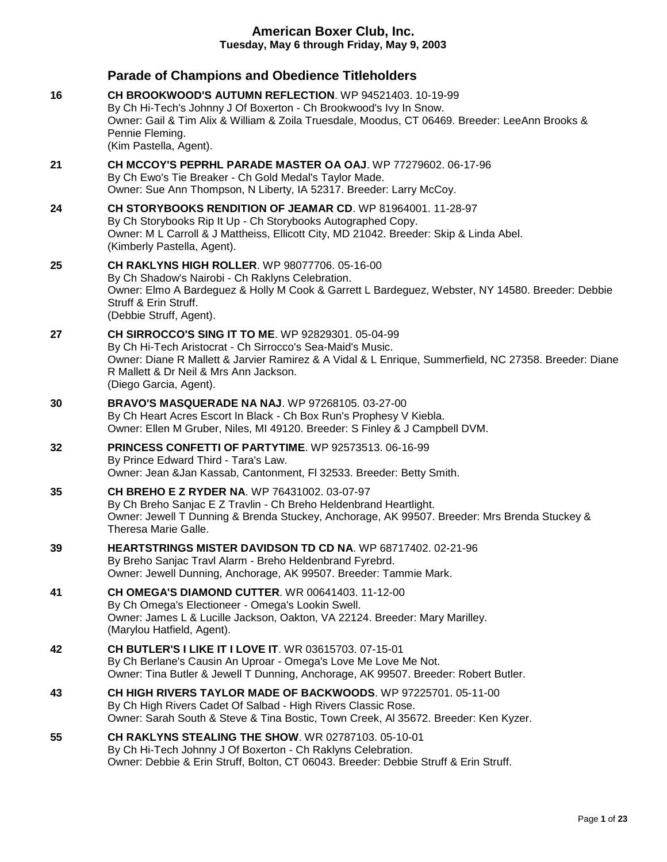|    | <b>Parade of Champions and Obedience Titleholders</b>                                                                                                                                                                                                                                                |
|----|------------------------------------------------------------------------------------------------------------------------------------------------------------------------------------------------------------------------------------------------------------------------------------------------------|
| 16 | CH BROOKWOOD'S AUTUMN REFLECTION, WP 94521403, 10-19-99<br>By Ch Hi-Tech's Johnny J Of Boxerton - Ch Brookwood's Ivy In Snow.<br>Owner: Gail & Tim Alix & William & Zoila Truesdale, Moodus, CT 06469. Breeder: LeeAnn Brooks &<br>Pennie Fleming.<br>(Kim Pastella, Agent).                         |
| 21 | CH MCCOY'S PEPRHL PARADE MASTER OA OAJ. WP 77279602. 06-17-96<br>By Ch Ewo's Tie Breaker - Ch Gold Medal's Taylor Made.<br>Owner: Sue Ann Thompson, N Liberty, IA 52317. Breeder: Larry McCoy.                                                                                                       |
| 24 | CH STORYBOOKS RENDITION OF JEAMAR CD. WP 81964001, 11-28-97<br>By Ch Storybooks Rip It Up - Ch Storybooks Autographed Copy.<br>Owner: M L Carroll & J Mattheiss, Ellicott City, MD 21042. Breeder: Skip & Linda Abel.<br>(Kimberly Pastella, Agent).                                                 |
| 25 | <b>CH RAKLYNS HIGH ROLLER. WP 98077706. 05-16-00</b><br>By Ch Shadow's Nairobi - Ch Raklyns Celebration.<br>Owner: Elmo A Bardeguez & Holly M Cook & Garrett L Bardeguez, Webster, NY 14580. Breeder: Debbie<br>Struff & Erin Struff.<br>(Debbie Struff, Agent).                                     |
| 27 | <b>CH SIRROCCO'S SING IT TO ME. WP 92829301. 05-04-99</b><br>By Ch Hi-Tech Aristocrat - Ch Sirrocco's Sea-Maid's Music.<br>Owner: Diane R Mallett & Jarvier Ramirez & A Vidal & L Enrique, Summerfield, NC 27358. Breeder: Diane<br>R Mallett & Dr Neil & Mrs Ann Jackson.<br>(Diego Garcia, Agent). |
| 30 | BRAVO'S MASQUERADE NA NAJ. WP 97268105. 03-27-00<br>By Ch Heart Acres Escort In Black - Ch Box Run's Prophesy V Kiebla.<br>Owner: Ellen M Gruber, Niles, MI 49120. Breeder: S Finley & J Campbell DVM.                                                                                               |
| 32 | <b>PRINCESS CONFETTI OF PARTYTIME. WP 92573513. 06-16-99</b><br>By Prince Edward Third - Tara's Law.<br>Owner: Jean & Jan Kassab, Cantonment, FI 32533. Breeder: Betty Smith.                                                                                                                        |
| 35 | <b>CH BREHO E Z RYDER NA. WP 76431002. 03-07-97</b><br>By Ch Breho Sanjac E Z Travlin - Ch Breho Heldenbrand Heartlight.<br>Owner: Jewell T Dunning & Brenda Stuckey, Anchorage, AK 99507. Breeder: Mrs Brenda Stuckey &<br>Theresa Marie Galle.                                                     |
| 39 | HEARTSTRINGS MISTER DAVIDSON TD CD NA. WP 68717402. 02-21-96<br>By Breho Sanjac Travl Alarm - Breho Heldenbrand Fyrebrd.<br>Owner: Jewell Dunning, Anchorage, AK 99507. Breeder: Tammie Mark.                                                                                                        |
| 41 | <b>CH OMEGA'S DIAMOND CUTTER. WR 00641403. 11-12-00</b><br>By Ch Omega's Electioneer - Omega's Lookin Swell.<br>Owner: James L & Lucille Jackson, Oakton, VA 22124. Breeder: Mary Marilley.<br>(Marylou Hatfield, Agent).                                                                            |
| 42 | CH BUTLER'S I LIKE IT I LOVE IT. WR 03615703. 07-15-01<br>By Ch Berlane's Causin An Uproar - Omega's Love Me Love Me Not.<br>Owner: Tina Butler & Jewell T Dunning, Anchorage, AK 99507. Breeder: Robert Butler.                                                                                     |
| 43 | CH HIGH RIVERS TAYLOR MADE OF BACKWOODS. WP 97225701. 05-11-00<br>By Ch High Rivers Cadet Of Salbad - High Rivers Classic Rose.<br>Owner: Sarah South & Steve & Tina Bostic, Town Creek, Al 35672. Breeder: Ken Kyzer.                                                                               |
| 55 | <b>CH RAKLYNS STEALING THE SHOW. WR 02787103, 05-10-01</b><br>By Ch Hi-Tech Johnny J Of Boxerton - Ch Raklyns Celebration.<br>Owner: Debbie & Erin Struff, Bolton, CT 06043. Breeder: Debbie Struff & Erin Struff.                                                                                   |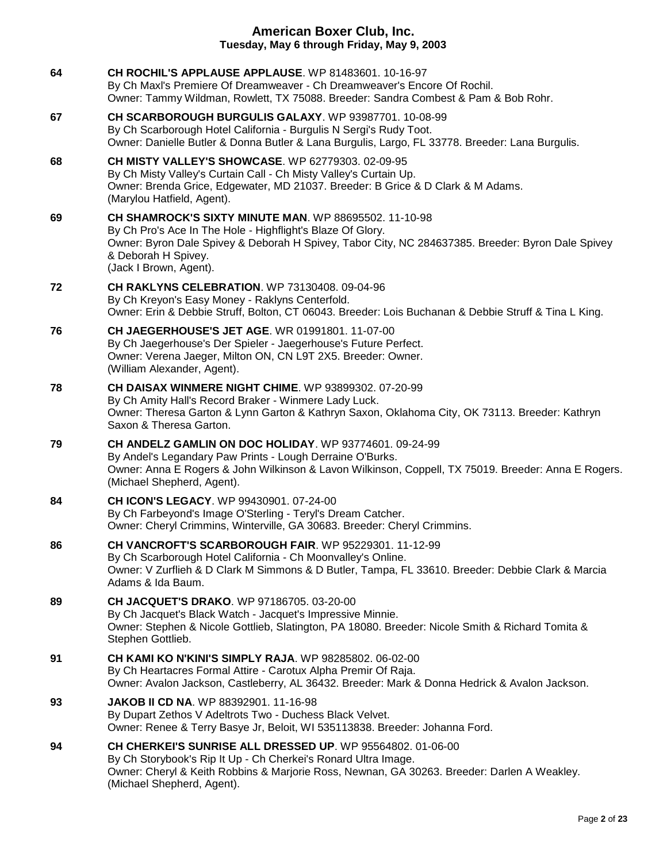| 64 | <b>CH ROCHIL'S APPLAUSE APPLAUSE.</b> WP 81483601. 10-16-97<br>By Ch Maxl's Premiere Of Dreamweaver - Ch Dreamweaver's Encore Of Rochil.<br>Owner: Tammy Wildman, Rowlett, TX 75088. Breeder: Sandra Combest & Pam & Bob Rohr.                                                   |
|----|----------------------------------------------------------------------------------------------------------------------------------------------------------------------------------------------------------------------------------------------------------------------------------|
| 67 | CH SCARBOROUGH BURGULIS GALAXY. WP 93987701. 10-08-99<br>By Ch Scarborough Hotel California - Burgulis N Sergi's Rudy Toot.<br>Owner: Danielle Butler & Donna Butler & Lana Burgulis, Largo, FL 33778. Breeder: Lana Burgulis.                                                   |
| 68 | <b>CH MISTY VALLEY'S SHOWCASE.</b> WP 62779303. 02-09-95<br>By Ch Misty Valley's Curtain Call - Ch Misty Valley's Curtain Up.<br>Owner: Brenda Grice, Edgewater, MD 21037. Breeder: B Grice & D Clark & M Adams.<br>(Marylou Hatfield, Agent).                                   |
| 69 | <b>CH SHAMROCK'S SIXTY MINUTE MAN. WP 88695502. 11-10-98</b><br>By Ch Pro's Ace In The Hole - Highflight's Blaze Of Glory.<br>Owner: Byron Dale Spivey & Deborah H Spivey, Tabor City, NC 284637385. Breeder: Byron Dale Spivey<br>& Deborah H Spivey.<br>(Jack I Brown, Agent). |
| 72 | <b>CH RAKLYNS CELEBRATION.</b> WP 73130408. 09-04-96<br>By Ch Kreyon's Easy Money - Raklyns Centerfold.<br>Owner: Erin & Debbie Struff, Bolton, CT 06043. Breeder: Lois Buchanan & Debbie Struff & Tina L King.                                                                  |
| 76 | <b>CH JAEGERHOUSE'S JET AGE. WR 01991801. 11-07-00</b><br>By Ch Jaegerhouse's Der Spieler - Jaegerhouse's Future Perfect.<br>Owner: Verena Jaeger, Milton ON, CN L9T 2X5. Breeder: Owner.<br>(William Alexander, Agent).                                                         |
| 78 | <b>CH DAISAX WINMERE NIGHT CHIME. WP 93899302. 07-20-99</b><br>By Ch Amity Hall's Record Braker - Winmere Lady Luck.<br>Owner: Theresa Garton & Lynn Garton & Kathryn Saxon, Oklahoma City, OK 73113. Breeder: Kathryn<br>Saxon & Theresa Garton.                                |
| 79 | CH ANDELZ GAMLIN ON DOC HOLIDAY. WP 93774601. 09-24-99<br>By Andel's Legandary Paw Prints - Lough Derraine O'Burks.<br>Owner: Anna E Rogers & John Wilkinson & Lavon Wilkinson, Coppell, TX 75019. Breeder: Anna E Rogers.<br>(Michael Shepherd, Agent).                         |
| 84 | <b>CH ICON'S LEGACY.</b> WP 99430901. 07-24-00<br>By Ch Farbeyond's Image O'Sterling - Teryl's Dream Catcher.<br>Owner: Cheryl Crimmins, Winterville, GA 30683. Breeder: Cheryl Crimmins.                                                                                        |
| 86 | CH VANCROFT'S SCARBOROUGH FAIR. WP 95229301. 11-12-99<br>By Ch Scarborough Hotel California - Ch Moonvalley's Online.<br>Owner: V Zurflieh & D Clark M Simmons & D Butler, Tampa, FL 33610. Breeder: Debbie Clark & Marcia<br>Adams & Ida Baum.                                  |
| 89 | CH JACQUET'S DRAKO. WP 97186705. 03-20-00<br>By Ch Jacquet's Black Watch - Jacquet's Impressive Minnie.<br>Owner: Stephen & Nicole Gottlieb, Slatington, PA 18080. Breeder: Nicole Smith & Richard Tomita &<br>Stephen Gottlieb.                                                 |
| 91 | <b>CH KAMI KO N'KINI'S SIMPLY RAJA.</b> WP 98285802. 06-02-00<br>By Ch Heartacres Formal Attire - Carotux Alpha Premir Of Raja.<br>Owner: Avalon Jackson, Castleberry, AL 36432. Breeder: Mark & Donna Hedrick & Avalon Jackson.                                                 |
| 93 | <b>JAKOB II CD NA. WP 88392901. 11-16-98</b><br>By Dupart Zethos V Adeltrots Two - Duchess Black Velvet.<br>Owner: Renee & Terry Basye Jr, Beloit, WI 535113838. Breeder: Johanna Ford.                                                                                          |
| 94 | <b>CH CHERKEI'S SUNRISE ALL DRESSED UP. WP 95564802, 01-06-00</b><br>By Ch Storybook's Rip It Up - Ch Cherkei's Ronard Ultra Image.<br>Owner: Cheryl & Keith Robbins & Marjorie Ross, Newnan, GA 30263. Breeder: Darlen A Weakley.<br>(Michael Shepherd, Agent).                 |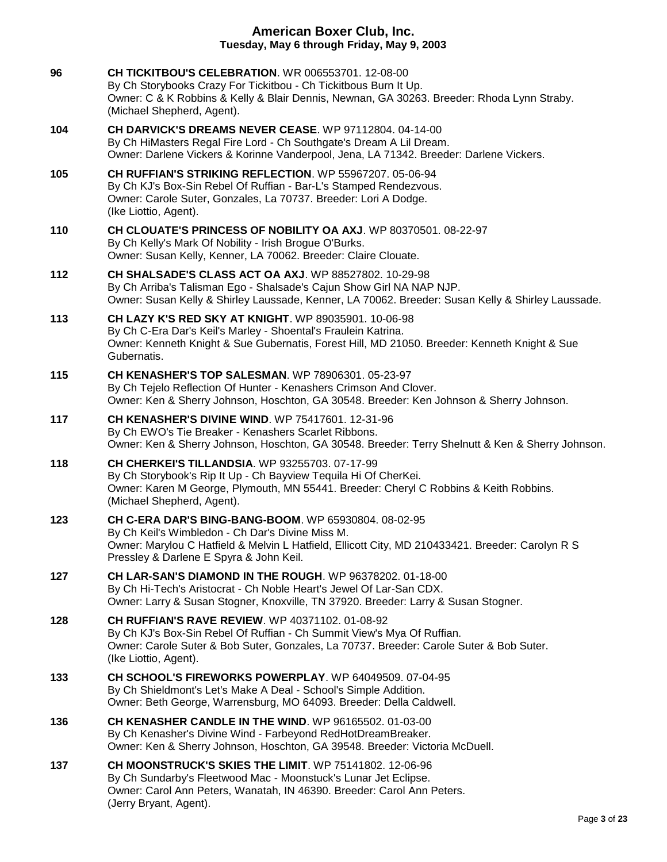| 96  | <b>CH TICKITBOU'S CELEBRATION. WR 006553701. 12-08-00</b><br>By Ch Storybooks Crazy For Tickitbou - Ch Tickitbous Burn It Up.<br>Owner: C & K Robbins & Kelly & Blair Dennis, Newnan, GA 30263. Breeder: Rhoda Lynn Straby.<br>(Michael Shepherd, Agent).      |
|-----|----------------------------------------------------------------------------------------------------------------------------------------------------------------------------------------------------------------------------------------------------------------|
| 104 | CH DARVICK'S DREAMS NEVER CEASE. WP 97112804. 04-14-00<br>By Ch HiMasters Regal Fire Lord - Ch Southgate's Dream A Lil Dream.<br>Owner: Darlene Vickers & Korinne Vanderpool, Jena, LA 71342. Breeder: Darlene Vickers.                                        |
| 105 | CH RUFFIAN'S STRIKING REFLECTION. WP 55967207. 05-06-94<br>By Ch KJ's Box-Sin Rebel Of Ruffian - Bar-L's Stamped Rendezvous.<br>Owner: Carole Suter, Gonzales, La 70737. Breeder: Lori A Dodge.<br>(Ike Liottio, Agent).                                       |
| 110 | CH CLOUATE'S PRINCESS OF NOBILITY OA AXJ. WP 80370501. 08-22-97<br>By Ch Kelly's Mark Of Nobility - Irish Brogue O'Burks.<br>Owner: Susan Kelly, Kenner, LA 70062. Breeder: Claire Clouate.                                                                    |
| 112 | CH SHALSADE'S CLASS ACT OA AXJ. WP 88527802. 10-29-98<br>By Ch Arriba's Talisman Ego - Shalsade's Cajun Show Girl NA NAP NJP.<br>Owner: Susan Kelly & Shirley Laussade, Kenner, LA 70062. Breeder: Susan Kelly & Shirley Laussade.                             |
| 113 | CH LAZY K'S RED SKY AT KNIGHT. WP 89035901. 10-06-98<br>By Ch C-Era Dar's Keil's Marley - Shoental's Fraulein Katrina.<br>Owner: Kenneth Knight & Sue Gubernatis, Forest Hill, MD 21050. Breeder: Kenneth Knight & Sue<br>Gubernatis.                          |
| 115 | <b>CH KENASHER'S TOP SALESMAN. WP 78906301. 05-23-97</b><br>By Ch Tejelo Reflection Of Hunter - Kenashers Crimson And Clover.<br>Owner: Ken & Sherry Johnson, Hoschton, GA 30548. Breeder: Ken Johnson & Sherry Johnson.                                       |
| 117 | <b>CH KENASHER'S DIVINE WIND. WP 75417601. 12-31-96</b><br>By Ch EWO's Tie Breaker - Kenashers Scarlet Ribbons.<br>Owner: Ken & Sherry Johnson, Hoschton, GA 30548. Breeder: Terry Shelnutt & Ken & Sherry Johnson.                                            |
| 118 | <b>CH CHERKEI'S TILLANDSIA.</b> WP 93255703. 07-17-99<br>By Ch Storybook's Rip It Up - Ch Bayview Tequila Hi Of CherKei.<br>Owner: Karen M George, Plymouth, MN 55441. Breeder: Cheryl C Robbins & Keith Robbins.<br>(Michael Shepherd, Agent).                |
| 123 | <b>CH C-ERA DAR'S BING-BANG-BOOM.</b> WP 65930804, 08-02-95<br>By Ch Keil's Wimbledon - Ch Dar's Divine Miss M.<br>Owner: Marylou C Hatfield & Melvin L Hatfield, Ellicott City, MD 210433421. Breeder: Carolyn R S<br>Pressley & Darlene E Spyra & John Keil. |
| 127 | CH LAR-SAN'S DIAMOND IN THE ROUGH. WP 96378202. 01-18-00<br>By Ch Hi-Tech's Aristocrat - Ch Noble Heart's Jewel Of Lar-San CDX.<br>Owner: Larry & Susan Stogner, Knoxville, TN 37920. Breeder: Larry & Susan Stogner.                                          |
| 128 | <b>CH RUFFIAN'S RAVE REVIEW.</b> WP 40371102, 01-08-92<br>By Ch KJ's Box-Sin Rebel Of Ruffian - Ch Summit View's Mya Of Ruffian.<br>Owner: Carole Suter & Bob Suter, Gonzales, La 70737. Breeder: Carole Suter & Bob Suter.<br>(Ike Liottio, Agent).           |
| 133 | CH SCHOOL'S FIREWORKS POWERPLAY. WP 64049509. 07-04-95<br>By Ch Shieldmont's Let's Make A Deal - School's Simple Addition.<br>Owner: Beth George, Warrensburg, MO 64093. Breeder: Della Caldwell.                                                              |
| 136 | <b>CH KENASHER CANDLE IN THE WIND. WP 96165502. 01-03-00</b><br>By Ch Kenasher's Divine Wind - Farbeyond RedHotDreamBreaker.<br>Owner: Ken & Sherry Johnson, Hoschton, GA 39548. Breeder: Victoria McDuell.                                                    |
| 137 | CH MOONSTRUCK'S SKIES THE LIMIT. WP 75141802. 12-06-96<br>By Ch Sundarby's Fleetwood Mac - Moonstuck's Lunar Jet Eclipse.<br>Owner: Carol Ann Peters, Wanatah, IN 46390. Breeder: Carol Ann Peters.<br>(Jerry Bryant, Agent).                                  |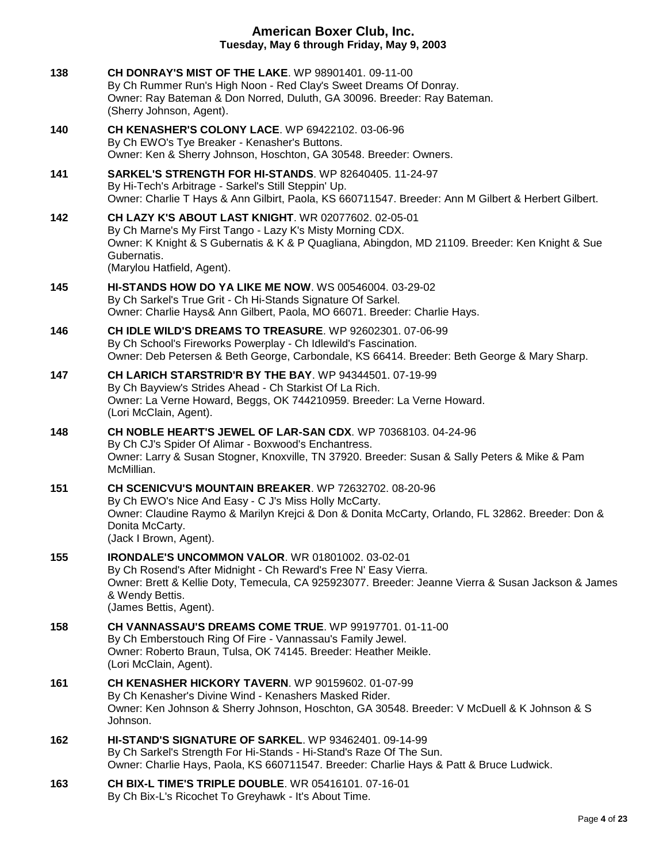| 138 | CH DONRAY'S MIST OF THE LAKE. WP 98901401. 09-11-00<br>By Ch Rummer Run's High Noon - Red Clay's Sweet Dreams Of Donray.<br>Owner: Ray Bateman & Don Norred, Duluth, GA 30096. Breeder: Ray Bateman.<br>(Sherry Johnson, Agent).                                               |
|-----|--------------------------------------------------------------------------------------------------------------------------------------------------------------------------------------------------------------------------------------------------------------------------------|
| 140 | <b>CH KENASHER'S COLONY LACE.</b> WP 69422102. 03-06-96<br>By Ch EWO's Tye Breaker - Kenasher's Buttons.<br>Owner: Ken & Sherry Johnson, Hoschton, GA 30548. Breeder: Owners.                                                                                                  |
| 141 | SARKEL'S STRENGTH FOR HI-STANDS. WP 82640405. 11-24-97<br>By Hi-Tech's Arbitrage - Sarkel's Still Steppin' Up.<br>Owner: Charlie T Hays & Ann Gilbirt, Paola, KS 660711547. Breeder: Ann M Gilbert & Herbert Gilbert.                                                          |
| 142 | <b>CH LAZY K'S ABOUT LAST KNIGHT. WR 02077602. 02-05-01</b><br>By Ch Marne's My First Tango - Lazy K's Misty Morning CDX.<br>Owner: K Knight & S Gubernatis & K & P Quagliana, Abingdon, MD 21109. Breeder: Ken Knight & Sue<br>Gubernatis.<br>(Marylou Hatfield, Agent).      |
| 145 | <b>HI-STANDS HOW DO YA LIKE ME NOW. WS 00546004. 03-29-02</b><br>By Ch Sarkel's True Grit - Ch Hi-Stands Signature Of Sarkel.<br>Owner: Charlie Hays& Ann Gilbert, Paola, MO 66071. Breeder: Charlie Hays.                                                                     |
| 146 | <b>CH IDLE WILD'S DREAMS TO TREASURE. WP 92602301. 07-06-99</b><br>By Ch School's Fireworks Powerplay - Ch Idlewild's Fascination.<br>Owner: Deb Petersen & Beth George, Carbondale, KS 66414. Breeder: Beth George & Mary Sharp.                                              |
| 147 | CH LARICH STARSTRID'R BY THE BAY. WP 94344501, 07-19-99<br>By Ch Bayview's Strides Ahead - Ch Starkist Of La Rich.<br>Owner: La Verne Howard, Beggs, OK 744210959. Breeder: La Verne Howard.<br>(Lori McClain, Agent).                                                         |
| 148 | <b>CH NOBLE HEART'S JEWEL OF LAR-SAN CDX.</b> WP 70368103. 04-24-96<br>By Ch CJ's Spider Of Alimar - Boxwood's Enchantress.<br>Owner: Larry & Susan Stogner, Knoxville, TN 37920. Breeder: Susan & Sally Peters & Mike & Pam<br>McMillian.                                     |
| 151 | CH SCENICVU'S MOUNTAIN BREAKER. WP 72632702. 08-20-96<br>By Ch EWO's Nice And Easy - C J's Miss Holly McCarty.<br>Owner: Claudine Raymo & Marilyn Krejci & Don & Donita McCarty, Orlando, FL 32862. Breeder: Don &<br>Donita McCarty.<br>(Jack I Brown, Agent).                |
| 155 | <b>IRONDALE'S UNCOMMON VALOR. WR 01801002. 03-02-01</b><br>By Ch Rosend's After Midnight - Ch Reward's Free N' Easy Vierra.<br>Owner: Brett & Kellie Doty, Temecula, CA 925923077. Breeder: Jeanne Vierra & Susan Jackson & James<br>& Wendy Bettis.<br>(James Bettis, Agent). |
| 158 | CH VANNASSAU'S DREAMS COME TRUE. WP 99197701. 01-11-00<br>By Ch Emberstouch Ring Of Fire - Vannassau's Family Jewel.<br>Owner: Roberto Braun, Tulsa, OK 74145. Breeder: Heather Meikle.<br>(Lori McClain, Agent).                                                              |
| 161 | <b>CH KENASHER HICKORY TAVERN. WP 90159602. 01-07-99</b><br>By Ch Kenasher's Divine Wind - Kenashers Masked Rider.<br>Owner: Ken Johnson & Sherry Johnson, Hoschton, GA 30548. Breeder: V McDuell & K Johnson & S<br>Johnson.                                                  |
| 162 | <b>HI-STAND'S SIGNATURE OF SARKEL. WP 93462401, 09-14-99</b><br>By Ch Sarkel's Strength For Hi-Stands - Hi-Stand's Raze Of The Sun.<br>Owner: Charlie Hays, Paola, KS 660711547. Breeder: Charlie Hays & Patt & Bruce Ludwick.                                                 |
| 163 | CH BIX-L TIME'S TRIPLE DOUBLE. WR 05416101. 07-16-01                                                                                                                                                                                                                           |

By Ch Bix-L's Ricochet To Greyhawk - It's About Time.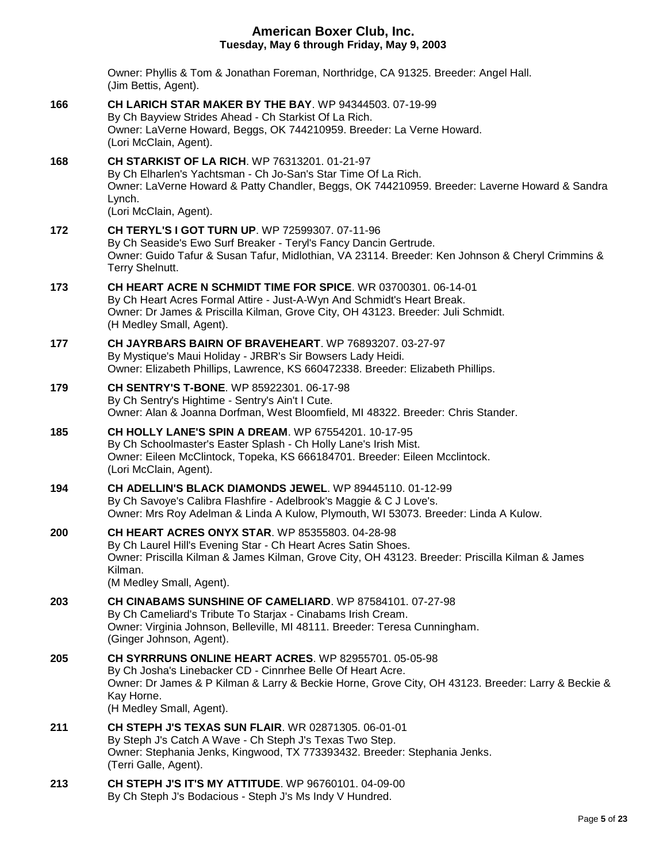Owner: Phyllis & Tom & Jonathan Foreman, Northridge, CA 91325. Breeder: Angel Hall. (Jim Bettis, Agent). **166 [CH LARICH STAR MAKER BY THE BAY](http://infodog.com/my/drlookup2.htm?makc=WP%2094344503&mdog=Ch+LaRich+Star+Maker+By+The+Bay&wins=all)**. WP 94344503. 07-19-99 By Ch Bayview Strides Ahead - Ch Starkist Of La Rich. Owner: LaVerne Howard, Beggs, OK 744210959. Breeder: La Verne Howard. (Lori McClain, Agent). **168 [CH STARKIST](http://infodog.com/my/drlookup2.htm?makc=WP%2076313201&mdog=Ch+Starkist+Of+La+Rich&wins=all) OF LA RICH**. WP 76313201. 01-21-97 By Ch Elharlen's Yachtsman - Ch Jo-San's Star Time Of La Rich. Owner: LaVerne Howard & Patty Chandler, Beggs, OK 744210959. Breeder: Laverne Howard & Sandra Lynch. (Lori McClain, Agent). **172 [CH TERYL'S I GOT TURN UP](http://infodog.com/my/drlookup2.htm?makc=WP%2072599307&mdog=Ch+Teryl%27s+I+Got+Turn+Up&wins=all)**. WP 72599307. 07-11-96 By Ch Seaside's Ewo Surf Breaker - Teryl's Fancy Dancin Gertrude. Owner: Guido Tafur & Susan Tafur, Midlothian, VA 23114. Breeder: Ken Johnson & Cheryl Crimmins & Terry Shelnutt. **173 [CH HEART ACRE N SCHMIDT TIME FOR SPICE](http://infodog.com/my/drlookup2.htm?makc=WR%2003700301&mdog=Ch+Heart+Acre+N+Schmidt+Time+For+Spice&wins=all)**. WR 03700301. 06-14-01 By Ch Heart Acres Formal Attire - Just-A-Wyn And Schmidt's Heart Break. Owner: Dr James & Priscilla Kilman, Grove City, OH 43123. Breeder: Juli Schmidt. (H Medley Small, Agent). **177 [CH JAYRBARS BAIRN OF BRAVEHEART](http://infodog.com/my/drlookup2.htm?makc=WP%2076893207&mdog=Ch+Jayrbars+Bairn+Of+Braveheart&wins=all)**. WP 76893207. 03-27-97 By Mystique's Maui Holiday - JRBR's Sir Bowsers Lady Heidi. Owner: Elizabeth Phillips, Lawrence, KS 660472338. Breeder: Elizabeth Phillips. **179 [CH SENTRY'S T-BONE](http://infodog.com/my/drlookup2.htm?makc=WP%2085922301&mdog=Ch+Sentry%27s+T-Bone&wins=all)**. WP 85922301. 06-17-98 By Ch Sentry's Hightime - Sentry's Ain't I Cute. Owner: Alan & Joanna Dorfman, West Bloomfield, MI 48322. Breeder: Chris Stander. **185 [CH HOLLY LANE'S SPIN A DREAM](http://infodog.com/my/drlookup2.htm?makc=WP%2067554201&mdog=Ch+Holly+Lane%27s+Spin+A+Dream&wins=all)**. WP 67554201. 10-17-95 By Ch Schoolmaster's Easter Splash - Ch Holly Lane's Irish Mist. Owner: Eileen McClintock, Topeka, KS 666184701. Breeder: Eileen Mcclintock. (Lori McClain, Agent). **194 [CH ADELLIN'S BLACK DIAMONDS JEWEL](http://infodog.com/my/drlookup2.htm?makc=WP%2089445110&mdog=Ch+Adellin%27s+Black+Diamonds+Jewel&wins=all)**. WP 89445110. 01-12-99 By Ch Savoye's Calibra Flashfire - Adelbrook's Maggie & C J Love's. Owner: Mrs Roy Adelman & Linda A Kulow, Plymouth, WI 53073. Breeder: Linda A Kulow. **200 [CH HEART ACRES ONYX STAR](http://infodog.com/my/drlookup2.htm?makc=WP%2085355803&mdog=Ch+Heart+Acres+Onyx+Star&wins=all)**. WP 85355803. 04-28-98 By Ch Laurel Hill's Evening Star - Ch Heart Acres Satin Shoes. Owner: Priscilla Kilman & James Kilman, Grove City, OH 43123. Breeder: Priscilla Kilman & James Kilman. (M Medley Small, Agent). **203 [CH CINABAMS SUNSHINE OF CAMELIARD](http://infodog.com/my/drlookup2.htm?makc=WP%2087584101&mdog=Ch+Cinabams+Sunshine+Of+Cameliard&wins=all)**. WP 87584101. 07-27-98 By Ch Cameliard's Tribute To Starjax - Cinabams Irish Cream. Owner: Virginia Johnson, Belleville, MI 48111. Breeder: Teresa Cunningham. (Ginger Johnson, Agent). **205 [CH SYRRRUNS ONLINE HEART ACRES](http://infodog.com/my/drlookup2.htm?makc=WP%2082955701&mdog=Ch+SyrrRuns+Online+Heart+Acres&wins=all)**. WP 82955701. 05-05-98 By Ch Josha's Linebacker CD - Cinnrhee Belle Of Heart Acre. Owner: Dr James & P Kilman & Larry & Beckie Horne, Grove City, OH 43123. Breeder: Larry & Beckie & Kay Horne. (H Medley Small, Agent). **211 [CH STEPH J'S TEXAS SUN FLAIR](http://infodog.com/my/drlookup2.htm?makc=WR%2002871305&mdog=Ch+Steph+J%27s+Texas+Sun+Flair&wins=all)**. WR 02871305. 06-01-01 By Steph J's Catch A Wave - Ch Steph J's Texas Two Step. Owner: Stephania Jenks, Kingwood, TX 773393432. Breeder: Stephania Jenks.

**213 [CH STEPH J'S IT'S MY ATTITUDE](http://infodog.com/my/drlookup2.htm?makc=WP%2096760101&mdog=Ch+Steph+J%27s+It%27s+My+Attitude&wins=all)**. WP 96760101. 04-09-00 By Ch Steph J's Bodacious - Steph J's Ms Indy V Hundred.

(Terri Galle, Agent).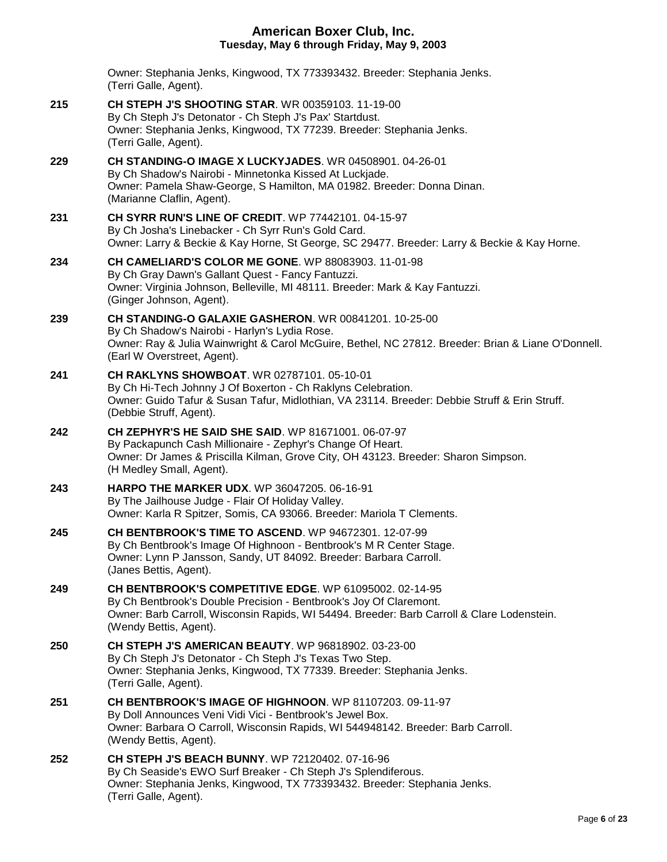Owner: Stephania Jenks, Kingwood, TX 773393432. Breeder: Stephania Jenks. (Terri Galle, Agent).

- **215 [CH STEPH J'S SHOOTING STAR](http://infodog.com/my/drlookup2.htm?makc=WR%2000359103&mdog=Ch+Steph+J%27s+Shooting+Star&wins=all)**. WR 00359103. 11-19-00 By Ch Steph J's Detonator - Ch Steph J's Pax' Startdust. Owner: Stephania Jenks, Kingwood, TX 77239. Breeder: Stephania Jenks. (Terri Galle, Agent).
- **229 [CH STANDING-O IMAGE X LUCKYJADES](http://infodog.com/my/drlookup2.htm?makc=WR%2004508901&mdog=Ch+Standing-O+Image+X+Luckyjades&wins=all)**. WR 04508901. 04-26-01 By Ch Shadow's Nairobi - Minnetonka Kissed At Luckjade. Owner: Pamela Shaw-George, S Hamilton, MA 01982. Breeder: Donna Dinan. (Marianne Claflin, Agent).
- **231 [CH SYRR RUN'S LINE OF CREDIT](http://infodog.com/my/drlookup2.htm?makc=WP%2077442101&mdog=Ch+Syrr+Run%27s+Line+Of+Credit&wins=all)**. WP 77442101. 04-15-97 By Ch Josha's Linebacker - Ch Syrr Run's Gold Card. Owner: Larry & Beckie & Kay Horne, St George, SC 29477. Breeder: Larry & Beckie & Kay Horne.
- **234 [CH CAMELIARD'S COLOR ME GONE](http://infodog.com/my/drlookup2.htm?makc=WP%2088083903&mdog=Ch+Cameliard%27s+Color+Me+Gone&wins=all)**. WP 88083903. 11-01-98 By Ch Gray Dawn's Gallant Quest - Fancy Fantuzzi. Owner: Virginia Johnson, Belleville, MI 48111. Breeder: Mark & Kay Fantuzzi. (Ginger Johnson, Agent).
- **239 [CH STANDING-O GALAXIE GASHERON](http://infodog.com/my/drlookup2.htm?makc=WR%2000841201&mdog=Ch+Standing-O+Galaxie+Gasheron&wins=all)**. WR 00841201. 10-25-00 By Ch Shadow's Nairobi - Harlyn's Lydia Rose. Owner: Ray & Julia Wainwright & Carol McGuire, Bethel, NC 27812. Breeder: Brian & Liane O'Donnell. (Earl W Overstreet, Agent).
- **241 [CH RAKLYNS SHOWBOAT](http://infodog.com/my/drlookup2.htm?makc=WR%2002787101&mdog=Ch+Raklyns+Showboat&wins=all)**. WR 02787101. 05-10-01 By Ch Hi-Tech Johnny J Of Boxerton - Ch Raklyns Celebration. Owner: Guido Tafur & Susan Tafur, Midlothian, VA 23114. Breeder: Debbie Struff & Erin Struff. (Debbie Struff, Agent).
- **242 [CH ZEPHYR'S HE SAID SHE SAID](http://infodog.com/my/drlookup2.htm?makc=WP%2081671001&mdog=Ch+Zephyr%27s+He+Said+She+Said&wins=all)**. WP 81671001. 06-07-97 By Packapunch Cash Millionaire - Zephyr's Change Of Heart. Owner: Dr James & Priscilla Kilman, Grove City, OH 43123. Breeder: Sharon Simpson. (H Medley Small, Agent).
- **243 [HARPO THE MARKER UDX](http://infodog.com/my/drlookup2.htm?makc=WP%2036047205&mdog=Harpo+The+Marker+UDX&wins=all)**. WP 36047205. 06-16-91 By The Jailhouse Judge - Flair Of Holiday Valley. Owner: Karla R Spitzer, Somis, CA 93066. Breeder: Mariola T Clements.
- **245 [CH BENTBROOK'S TIME TO ASCEND](http://infodog.com/my/drlookup2.htm?makc=WP%2094672301&mdog=Ch+Bentbrook%27s+Time+To+Ascend&wins=all)**. WP 94672301. 12-07-99 By Ch Bentbrook's Image Of Highnoon - Bentbrook's M R Center Stage. Owner: Lynn P Jansson, Sandy, UT 84092. Breeder: Barbara Carroll. (Janes Bettis, Agent).
- **249 [CH BENTBROOK'S COMPETITIVE EDGE](http://infodog.com/my/drlookup2.htm?makc=WP%2061095002&mdog=Ch+Bentbrook%27s+Competitive+Edge&wins=all)**. WP 61095002. 02-14-95 By Ch Bentbrook's Double Precision - Bentbrook's Joy Of Claremont. Owner: Barb Carroll, Wisconsin Rapids, WI 54494. Breeder: Barb Carroll & Clare Lodenstein. (Wendy Bettis, Agent).
- **250 [CH STEPH J'S AMERICAN BEAUTY](http://infodog.com/my/drlookup2.htm?makc=WP%2096818902&mdog=Ch+Steph+J%27s+American+Beauty&wins=all)**. WP 96818902. 03-23-00 By Ch Steph J's Detonator - Ch Steph J's Texas Two Step. Owner: Stephania Jenks, Kingwood, TX 77339. Breeder: Stephania Jenks. (Terri Galle, Agent).
- **251 [CH BENTBROOK'S IMAGE OF HIGHNOON](http://infodog.com/my/drlookup2.htm?makc=WP%2081107203&mdog=Ch+Bentbrook%27s+Image+of+Highnoon&wins=all)**. WP 81107203. 09-11-97 By Doll Announces Veni Vidi Vici - Bentbrook's Jewel Box. Owner: Barbara O Carroll, Wisconsin Rapids, WI 544948142. Breeder: Barb Carroll. (Wendy Bettis, Agent).
- **252 [CH STEPH J'S BEACH BUNNY](http://infodog.com/my/drlookup2.htm?makc=WP%2072120402&mdog=Ch+Steph+J%27s+Beach+Bunny&wins=all)**. WP 72120402. 07-16-96 By Ch Seaside's EWO Surf Breaker - Ch Steph J's Splendiferous. Owner: Stephania Jenks, Kingwood, TX 773393432. Breeder: Stephania Jenks. (Terri Galle, Agent).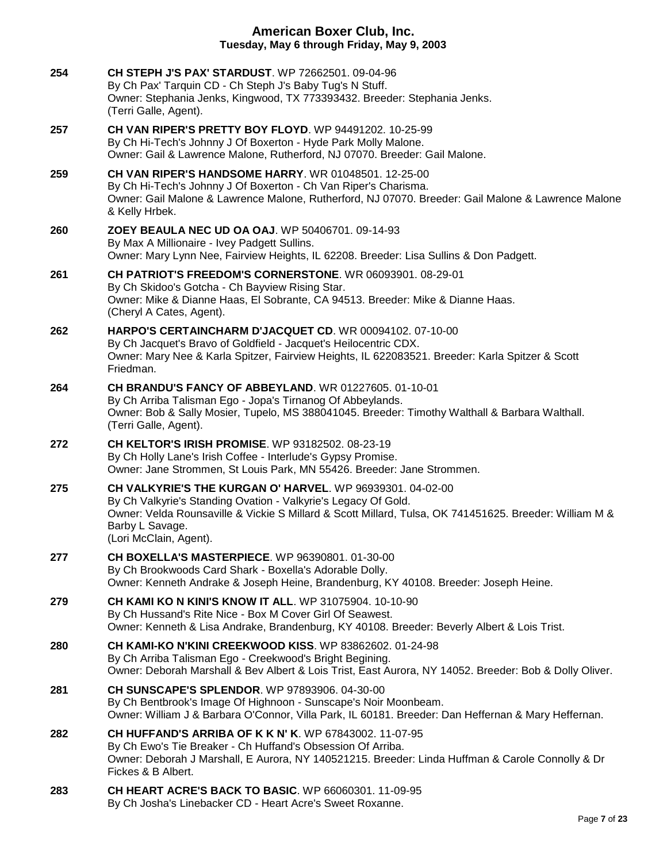| 254 | <b>CH STEPH J'S PAX' STARDUST.</b> WP 72662501, 09-04-96<br>By Ch Pax' Tarquin CD - Ch Steph J's Baby Tug's N Stuff.<br>Owner: Stephania Jenks, Kingwood, TX 773393432. Breeder: Stephania Jenks.<br>(Terri Galle, Agent).                                                         |
|-----|------------------------------------------------------------------------------------------------------------------------------------------------------------------------------------------------------------------------------------------------------------------------------------|
| 257 | CH VAN RIPER'S PRETTY BOY FLOYD. WP 94491202, 10-25-99<br>By Ch Hi-Tech's Johnny J Of Boxerton - Hyde Park Molly Malone.<br>Owner: Gail & Lawrence Malone, Rutherford, NJ 07070. Breeder: Gail Malone.                                                                             |
| 259 | <b>CH VAN RIPER'S HANDSOME HARRY.</b> WR 01048501, 12-25-00<br>By Ch Hi-Tech's Johnny J Of Boxerton - Ch Van Riper's Charisma.<br>Owner: Gail Malone & Lawrence Malone, Rutherford, NJ 07070. Breeder: Gail Malone & Lawrence Malone<br>& Kelly Hrbek.                             |
| 260 | ZOEY BEAULA NEC UD OA OAJ. WP 50406701. 09-14-93<br>By Max A Millionaire - Ivey Padgett Sullins.<br>Owner: Mary Lynn Nee, Fairview Heights, IL 62208. Breeder: Lisa Sullins & Don Padgett.                                                                                         |
| 261 | CH PATRIOT'S FREEDOM'S CORNERSTONE. WR 06093901. 08-29-01<br>By Ch Skidoo's Gotcha - Ch Bayview Rising Star.<br>Owner: Mike & Dianne Haas, El Sobrante, CA 94513. Breeder: Mike & Dianne Haas.<br>(Cheryl A Cates, Agent).                                                         |
| 262 | HARPO'S CERTAINCHARM D'JACQUET CD. WR 00094102. 07-10-00<br>By Ch Jacquet's Bravo of Goldfield - Jacquet's Heilocentric CDX.<br>Owner: Mary Nee & Karla Spitzer, Fairview Heights, IL 622083521. Breeder: Karla Spitzer & Scott<br>Friedman.                                       |
| 264 | <b>CH BRANDU'S FANCY OF ABBEYLAND. WR 01227605. 01-10-01</b><br>By Ch Arriba Talisman Ego - Jopa's Tirnanog Of Abbeylands.<br>Owner: Bob & Sally Mosier, Tupelo, MS 388041045. Breeder: Timothy Walthall & Barbara Walthall.<br>(Terri Galle, Agent).                              |
| 272 | <b>CH KELTOR'S IRISH PROMISE.</b> WP 93182502. 08-23-19<br>By Ch Holly Lane's Irish Coffee - Interlude's Gypsy Promise.<br>Owner: Jane Strommen, St Louis Park, MN 55426. Breeder: Jane Strommen.                                                                                  |
| 275 | CH VALKYRIE'S THE KURGAN O' HARVEL. WP 96939301. 04-02-00<br>By Ch Valkyrie's Standing Ovation - Valkyrie's Legacy Of Gold.<br>Owner: Velda Rounsaville & Vickie S Millard & Scott Millard, Tulsa, OK 741451625. Breeder: William M &<br>Barby L Savage.<br>(Lori McClain, Agent). |
| 277 |                                                                                                                                                                                                                                                                                    |
|     | CH BOXELLA'S MASTERPIECE. WP 96390801. 01-30-00<br>By Ch Brookwoods Card Shark - Boxella's Adorable Dolly.<br>Owner: Kenneth Andrake & Joseph Heine, Brandenburg, KY 40108. Breeder: Joseph Heine.                                                                                 |
| 279 | <b>CH KAMI KO N KINI'S KNOW IT ALL. WP 31075904. 10-10-90</b><br>By Ch Hussand's Rite Nice - Box M Cover Girl Of Seawest.<br>Owner: Kenneth & Lisa Andrake, Brandenburg, KY 40108. Breeder: Beverly Albert & Lois Trist.                                                           |
| 280 | CH KAMI-KO N'KINI CREEKWOOD KISS. WP 83862602, 01-24-98<br>By Ch Arriba Talisman Ego - Creekwood's Bright Begining.<br>Owner: Deborah Marshall & Bev Albert & Lois Trist, East Aurora, NY 14052. Breeder: Bob & Dolly Oliver.                                                      |
| 281 | CH SUNSCAPE'S SPLENDOR. WP 97893906. 04-30-00<br>By Ch Bentbrook's Image Of Highnoon - Sunscape's Noir Moonbeam.<br>Owner: William J & Barbara O'Connor, Villa Park, IL 60181. Breeder: Dan Heffernan & Mary Heffernan.                                                            |
| 282 | <b>CH HUFFAND'S ARRIBA OF K K N' K. WP 67843002. 11-07-95</b><br>By Ch Ewo's Tie Breaker - Ch Huffand's Obsession Of Arriba.<br>Owner: Deborah J Marshall, E Aurora, NY 140521215. Breeder: Linda Huffman & Carole Connolly & Dr<br>Fickes & B Albert.                             |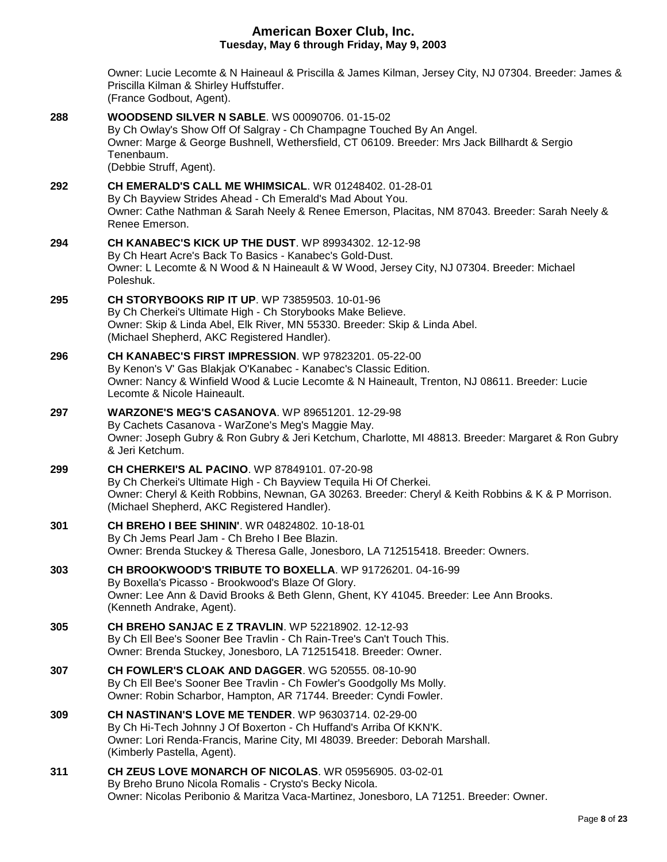Owner: Lucie Lecomte & N Haineaul & Priscilla & James Kilman, Jersey City, NJ 07304. Breeder: James & Priscilla Kilman & Shirley Huffstuffer. (France Godbout, Agent). **288 [WOODSEND SILVER N SABLE](http://infodog.com/my/drlookup2.htm?makc=WS%2000090706&mdog=Woodsend+Silver+N+Sable&wins=all)**. WS 00090706. 01-15-02 By Ch Owlay's Show Off Of Salgray - Ch Champagne Touched By An Angel. Owner: Marge & George Bushnell, Wethersfield, CT 06109. Breeder: Mrs Jack Billhardt & Sergio Tenenbaum. (Debbie Struff, Agent). **292 [CH EMERALD'S CALL ME WHIMSICAL](http://infodog.com/my/drlookup2.htm?makc=WR%2001248402&mdog=Ch+Emerald%27s+Call+Me+Whimsical&wins=all)**. WR 01248402. 01-28-01 By Ch Bayview Strides Ahead - Ch Emerald's Mad About You. Owner: Cathe Nathman & Sarah Neely & Renee Emerson, Placitas, NM 87043. Breeder: Sarah Neely & Renee Emerson. **294 [CH KANABEC'S KICK UP THE DUST](http://infodog.com/my/drlookup2.htm?makc=WP%2089934302&mdog=Ch+Kanabec%27s+Kick+Up+The+Dust&wins=all)**. WP 89934302. 12-12-98 By Ch Heart Acre's Back To Basics - Kanabec's Gold-Dust. Owner: L Lecomte & N Wood & N Haineault & W Wood, Jersey City, NJ 07304. Breeder: Michael Poleshuk. **295 [CH STORYBOOKS RIP IT UP](http://infodog.com/my/drlookup2.htm?makc=WP%2073859503&mdog=Ch+Storybooks+Rip+It+Up&wins=all)**. WP 73859503. 10-01-96 By Ch Cherkei's Ultimate High - Ch Storybooks Make Believe. Owner: Skip & Linda Abel, Elk River, MN 55330. Breeder: Skip & Linda Abel. (Michael Shepherd, AKC Registered Handler). **296 [CH KANABEC'S FIRST IMPRESSION](http://infodog.com/my/drlookup2.htm?makc=WP%2097823201&mdog=Ch+Kanabec%27s+First+Impression&wins=all)**. WP 97823201. 05-22-00 By Kenon's V' Gas Blakjak O'Kanabec - Kanabec's Classic Edition. Owner: Nancy & Winfield Wood & Lucie Lecomte & N Haineault, Trenton, NJ 08611. Breeder: Lucie Lecomte & Nicole Haineault. **297 [WARZONE'S MEG'S CASANOVA](http://infodog.com/my/drlookup2.htm?makc=WP%2089651201&mdog=Warzone%27s+Meg%27s+Casanova&wins=all)**. WP 89651201. 12-29-98 By Cachets Casanova - WarZone's Meg's Maggie May. Owner: Joseph Gubry & Ron Gubry & Jeri Ketchum, Charlotte, MI 48813. Breeder: Margaret & Ron Gubry & Jeri Ketchum. **299 [CH CHERKEI'S AL PACINO](http://infodog.com/my/drlookup2.htm?makc=WP%2087849101&mdog=Ch+Cherkei%27s+Al+Pacino&wins=all)**. WP 87849101. 07-20-98 By Ch Cherkei's Ultimate High - Ch Bayview Tequila Hi Of Cherkei. Owner: Cheryl & Keith Robbins, Newnan, GA 30263. Breeder: Cheryl & Keith Robbins & K & P Morrison. (Michael Shepherd, AKC Registered Handler). **301 [CH BREHO I BEE SHININ'](http://infodog.com/my/drlookup2.htm?makc=WR%2004824802&mdog=Ch+Breho+I+Bee+Shinin%27&wins=all)**. WR 04824802. 10-18-01 By Ch Jems Pearl Jam - Ch Breho I Bee Blazin. Owner: Brenda Stuckey & Theresa Galle, Jonesboro, LA 712515418. Breeder: Owners. **303 [CH BROOKWOOD'S TRIBUTE TO BOXELLA](http://infodog.com/my/drlookup2.htm?makc=WP%2091726201&mdog=Ch+Brookwood%27s+Tribute+To+Boxella&wins=all)**. WP 91726201. 04-16-99 By Boxella's Picasso - Brookwood's Blaze Of Glory. Owner: Lee Ann & David Brooks & Beth Glenn, Ghent, KY 41045. Breeder: Lee Ann Brooks. (Kenneth Andrake, Agent). **305 [CH BREHO SANJAC E Z TRAVLIN](http://infodog.com/my/drlookup2.htm?makc=WP%2052218902&mdog=Ch+Breho+Sanjac+E+Z+Travlin&wins=all)**. WP 52218902. 12-12-93 By Ch Ell Bee's Sooner Bee Travlin - Ch Rain-Tree's Can't Touch This. Owner: Brenda Stuckey, Jonesboro, LA 712515418. Breeder: Owner. **307 [CH FOWLER'S CLOAK AND DAGGER](http://infodog.com/my/drlookup2.htm?makc=WG%20520555&mdog=Ch+Fowler%27s+Cloak+And+Dagger&wins=all)**. WG 520555. 08-10-90 By Ch Ell Bee's Sooner Bee Travlin - Ch Fowler's Goodgolly Ms Molly. Owner: Robin Scharbor, Hampton, AR 71744. Breeder: Cyndi Fowler. **309 [CH NASTINAN'S LOVE ME TENDER](http://infodog.com/my/drlookup2.htm?makc=WP%2096303714&mdog=Ch+Nastinan%27s+Love+Me+Tender&wins=all)**. WP 96303714. 02-29-00 By Ch Hi-Tech Johnny J Of Boxerton - Ch Huffand's Arriba Of KKN'K. Owner: Lori Renda-Francis, Marine City, MI 48039. Breeder: Deborah Marshall. (Kimberly Pastella, Agent). **311 [CH ZEUS LOVE MONARCH OF NICOLAS](http://infodog.com/my/drlookup2.htm?makc=WR%2005956905&mdog=Ch+Zeus+Love+Monarch+Of+Nicolas&wins=all)**. WR 05956905. 03-02-01 By Breho Bruno Nicola Romalis - Crysto's Becky Nicola. Owner: Nicolas Peribonio & Maritza Vaca-Martinez, Jonesboro, LA 71251. Breeder: Owner.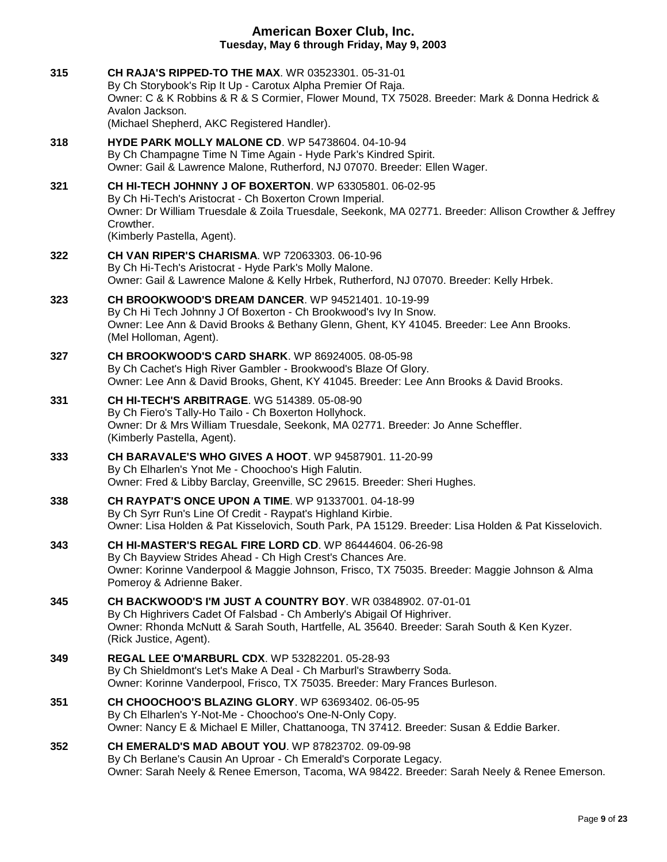**315 [CH RAJA'S RIPPED-TO THE MAX](http://infodog.com/my/drlookup2.htm?makc=WR%2003523301&mdog=Ch+Raja%27s+Ripped-To+The+Max&wins=all)**. WR 03523301. 05-31-01 By Ch Storybook's Rip It Up - Carotux Alpha Premier Of Raja. Owner: C & K Robbins & R & S Cormier, Flower Mound, TX 75028. Breeder: Mark & Donna Hedrick & Avalon Jackson. (Michael Shepherd, AKC Registered Handler). **318 [HYDE PARK MOLLY MALONE CD](http://infodog.com/my/drlookup2.htm?makc=WP%2054738604&mdog=Hyde+Park+Molly+Malone+CD&wins=all)**. WP 54738604. 04-10-94 By Ch Champagne Time N Time Again - Hyde Park's Kindred Spirit. Owner: Gail & Lawrence Malone, Rutherford, NJ 07070. Breeder: Ellen Wager. **321 [CH HI-TECH JOHNNY J OF BOXERTON](http://infodog.com/my/drlookup2.htm?makc=WP%2063305801&mdog=Ch+Hi-Tech+Johnny+J+Of+Boxerton&wins=all)**. WP 63305801. 06-02-95 By Ch Hi-Tech's Aristocrat - Ch Boxerton Crown Imperial. Owner: Dr William Truesdale & Zoila Truesdale, Seekonk, MA 02771. Breeder: Allison Crowther & Jeffrey Crowther. (Kimberly Pastella, Agent). **322 [CH VAN RIPER'S CHARISMA](http://infodog.com/my/drlookup2.htm?makc=WP%2072063303&mdog=Ch+Van+Riper%27s+Charisma&wins=all)**. WP 72063303. 06-10-96 By Ch Hi-Tech's Aristocrat - Hyde Park's Molly Malone. Owner: Gail & Lawrence Malone & Kelly Hrbek, Rutherford, NJ 07070. Breeder: Kelly Hrbek. **323 [CH BROOKWOOD'S DREAM DANCER](http://infodog.com/my/drlookup2.htm?makc=WP%2094521401&mdog=Ch+Brookwood%27s+Dream+Dancer&wins=all)**. WP 94521401. 10-19-99 By Ch Hi Tech Johnny J Of Boxerton - Ch Brookwood's Ivy In Snow. Owner: Lee Ann & David Brooks & Bethany Glenn, Ghent, KY 41045. Breeder: Lee Ann Brooks. (Mel Holloman, Agent). **327 [CH BROOKWOOD'S CARD SHARK](http://infodog.com/my/drlookup2.htm?makc=WP%2086924005&mdog=Ch+Brookwood%27s+Card+Shark&wins=all)**. WP 86924005. 08-05-98 By Ch Cachet's High River Gambler - Brookwood's Blaze Of Glory. Owner: Lee Ann & David Brooks, Ghent, KY 41045. Breeder: Lee Ann Brooks & David Brooks. **331 [CH HI-TECH'S ARBITRAGE](http://infodog.com/my/drlookup2.htm?makc=WG%20514389&mdog=Ch+Hi-Tech%27s+Arbitrage&wins=all)**. WG 514389. 05-08-90 By Ch Fiero's Tally-Ho Tailo - Ch Boxerton Hollyhock. Owner: Dr & Mrs William Truesdale, Seekonk, MA 02771. Breeder: Jo Anne Scheffler. (Kimberly Pastella, Agent). **333 [CH BARAVALE'S WHO GIVES A HOOT](http://infodog.com/my/drlookup2.htm?makc=WP%2094587901&mdog=Ch+Baravale%27s+Who+Gives+A+Hoot&wins=all)**. WP 94587901. 11-20-99 By Ch Elharlen's Ynot Me - Choochoo's High Falutin. Owner: Fred & Libby Barclay, Greenville, SC 29615. Breeder: Sheri Hughes. **338 [CH RAYPAT'S ONCE UPON A TIME](http://infodog.com/my/drlookup2.htm?makc=WP%2091337001&mdog=Ch+Raypat%27s+Once+Upon+A+Time&wins=all)**. WP 91337001. 04-18-99 By Ch Syrr Run's Line Of Credit - Raypat's Highland Kirbie. Owner: Lisa Holden & Pat Kisselovich, South Park, PA 15129. Breeder: Lisa Holden & Pat Kisselovich. **343 [CH HI-MASTER'S REGAL FIRE LORD CD](http://infodog.com/my/drlookup2.htm?makc=WP%2086444604&mdog=Ch+Hi-Master%27s+Regal+Fire+Lord+CD&wins=all)**. WP 86444604. 06-26-98 By Ch Bayview Strides Ahead - Ch High Crest's Chances Are. Owner: Korinne Vanderpool & Maggie Johnson, Frisco, TX 75035. Breeder: Maggie Johnson & Alma Pomeroy & Adrienne Baker. **345 [CH BACKWOOD'S I'M JUST A COUNTRY BOY](http://infodog.com/my/drlookup2.htm?makc=WR%2003848902&mdog=Ch+Backwood%27s+I%27m+Just+A+Country+Boy&wins=all)**. WR 03848902. 07-01-01 By Ch Highrivers Cadet Of Falsbad - Ch Amberly's Abigail Of Highriver. Owner: Rhonda McNutt & Sarah South, Hartfelle, AL 35640. Breeder: Sarah South & Ken Kyzer. (Rick Justice, Agent). **349 [REGAL LEE O'MARBURL CDX](http://infodog.com/my/drlookup2.htm?makc=WP%2053282201&mdog=Regal+Lee+O%27Marburl+CDX&wins=all)**. WP 53282201. 05-28-93 By Ch Shieldmont's Let's Make A Deal - Ch Marburl's Strawberry Soda. Owner: Korinne Vanderpool, Frisco, TX 75035. Breeder: Mary Frances Burleson. **351 [CH CHOOCHOO'S BLAZING GLORY](http://infodog.com/my/drlookup2.htm?makc=WP%2063693402&mdog=Ch+Choochoo%27s+Blazing+Glory&wins=all)**. WP 63693402. 06-05-95 By Ch Elharlen's Y-Not-Me - Choochoo's One-N-Only Copy. Owner: Nancy E & Michael E Miller, Chattanooga, TN 37412. Breeder: Susan & Eddie Barker. **352 [CH EMERALD'S MAD ABOUT YOU](http://infodog.com/my/drlookup2.htm?makc=WP%2087823702&mdog=Ch+Emerald%27s+Mad+About+You&wins=all)**. WP 87823702. 09-09-98 By Ch Berlane's Causin An Uproar - Ch Emerald's Corporate Legacy. Owner: Sarah Neely & Renee Emerson, Tacoma, WA 98422. Breeder: Sarah Neely & Renee Emerson.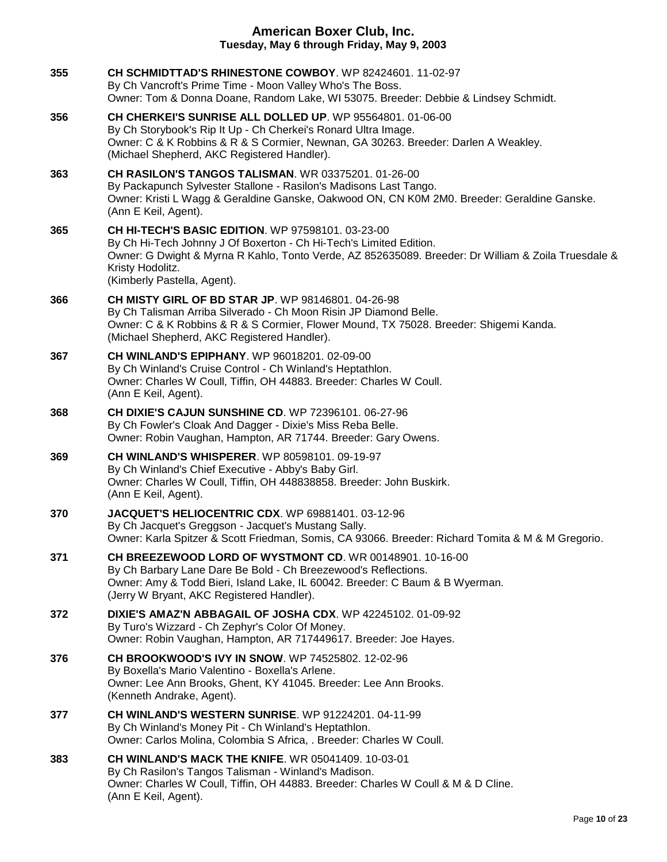| 355 | CH SCHMIDTTAD'S RHINESTONE COWBOY. WP 82424601. 11-02-97<br>By Ch Vancroft's Prime Time - Moon Valley Who's The Boss.<br>Owner: Tom & Donna Doane, Random Lake, WI 53075. Breeder: Debbie & Lindsey Schmidt.                                                                             |
|-----|------------------------------------------------------------------------------------------------------------------------------------------------------------------------------------------------------------------------------------------------------------------------------------------|
| 356 | CH CHERKEI'S SUNRISE ALL DOLLED UP. WP 95564801. 01-06-00<br>By Ch Storybook's Rip It Up - Ch Cherkei's Ronard Ultra Image.<br>Owner: C & K Robbins & R & S Cormier, Newnan, GA 30263. Breeder: Darlen A Weakley.<br>(Michael Shepherd, AKC Registered Handler).                         |
| 363 | CH RASILON'S TANGOS TALISMAN. WR 03375201. 01-26-00<br>By Packapunch Sylvester Stallone - Rasilon's Madisons Last Tango.<br>Owner: Kristi L Wagg & Geraldine Ganske, Oakwood ON, CN K0M 2M0. Breeder: Geraldine Ganske.<br>(Ann E Keil, Agent).                                          |
| 365 | <b>CH HI-TECH'S BASIC EDITION.</b> WP 97598101. 03-23-00<br>By Ch Hi-Tech Johnny J Of Boxerton - Ch Hi-Tech's Limited Edition.<br>Owner: G Dwight & Myrna R Kahlo, Tonto Verde, AZ 852635089. Breeder: Dr William & Zoila Truesdale &<br>Kristy Hodolitz.<br>(Kimberly Pastella, Agent). |
| 366 | <b>CH MISTY GIRL OF BD STAR JP. WP 98146801. 04-26-98</b><br>By Ch Talisman Arriba Silverado - Ch Moon Risin JP Diamond Belle.<br>Owner: C & K Robbins & R & S Cormier, Flower Mound, TX 75028. Breeder: Shigemi Kanda.<br>(Michael Shepherd, AKC Registered Handler).                   |
| 367 | <b>CH WINLAND'S EPIPHANY.</b> WP 96018201. 02-09-00<br>By Ch Winland's Cruise Control - Ch Winland's Heptathlon.<br>Owner: Charles W Coull, Tiffin, OH 44883. Breeder: Charles W Coull.<br>(Ann E Keil, Agent).                                                                          |
| 368 | CH DIXIE'S CAJUN SUNSHINE CD. WP 72396101. 06-27-96<br>By Ch Fowler's Cloak And Dagger - Dixie's Miss Reba Belle.<br>Owner: Robin Vaughan, Hampton, AR 71744. Breeder: Gary Owens.                                                                                                       |
| 369 | <b>CH WINLAND'S WHISPERER. WP 80598101. 09-19-97</b><br>By Ch Winland's Chief Executive - Abby's Baby Girl.<br>Owner: Charles W Coull, Tiffin, OH 448838858. Breeder: John Buskirk.<br>(Ann E Keil, Agent).                                                                              |
| 370 | <b>JACQUET'S HELIOCENTRIC CDX. WP 69881401. 03-12-96</b><br>By Ch Jacquet's Greggson - Jacquet's Mustang Sally.<br>Owner: Karla Spitzer & Scott Friedman, Somis, CA 93066. Breeder: Richard Tomita & M & M Gregorio.                                                                     |
| 371 | CH BREEZEWOOD LORD OF WYSTMONT CD. WR 00148901. 10-16-00<br>By Ch Barbary Lane Dare Be Bold - Ch Breezewood's Reflections.<br>Owner: Amy & Todd Bieri, Island Lake, IL 60042. Breeder: C Baum & B Wyerman.<br>(Jerry W Bryant, AKC Registered Handler).                                  |
| 372 | DIXIE'S AMAZ'N ABBAGAIL OF JOSHA CDX. WP 42245102. 01-09-92<br>By Turo's Wizzard - Ch Zephyr's Color Of Money.<br>Owner: Robin Vaughan, Hampton, AR 717449617. Breeder: Joe Hayes.                                                                                                       |
| 376 | <b>CH BROOKWOOD'S IVY IN SNOW.</b> WP 74525802. 12-02-96<br>By Boxella's Mario Valentino - Boxella's Arlene.<br>Owner: Lee Ann Brooks, Ghent, KY 41045. Breeder: Lee Ann Brooks.<br>(Kenneth Andrake, Agent).                                                                            |
| 377 | <b>CH WINLAND'S WESTERN SUNRISE. WP 91224201. 04-11-99</b><br>By Ch Winland's Money Pit - Ch Winland's Heptathlon.<br>Owner: Carlos Molina, Colombia S Africa, . Breeder: Charles W Coull.                                                                                               |
| 383 | <b>CH WINLAND'S MACK THE KNIFE. WR 05041409. 10-03-01</b><br>By Ch Rasilon's Tangos Talisman - Winland's Madison.<br>Owner: Charles W Coull, Tiffin, OH 44883. Breeder: Charles W Coull & M & D Cline.<br>(Ann E Keil, Agent).                                                           |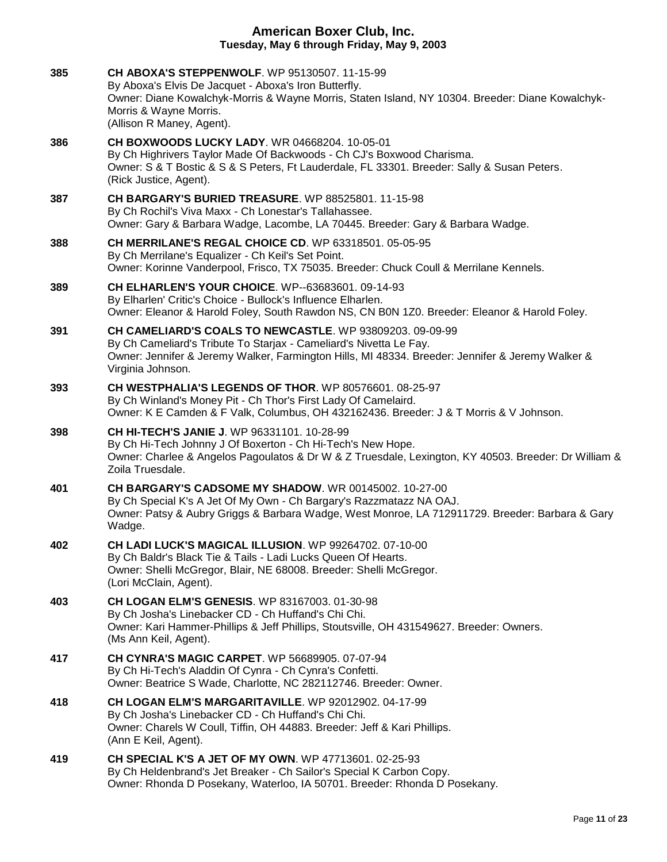| 385 | <b>CH ABOXA'S STEPPENWOLF.</b> WP 95130507. 11-15-99<br>By Aboxa's Elvis De Jacquet - Aboxa's Iron Butterfly.<br>Owner: Diane Kowalchyk-Morris & Wayne Morris, Staten Island, NY 10304. Breeder: Diane Kowalchyk-<br>Morris & Wayne Morris.<br>(Allison R Maney, Agent). |
|-----|--------------------------------------------------------------------------------------------------------------------------------------------------------------------------------------------------------------------------------------------------------------------------|
| 386 | CH BOXWOODS LUCKY LADY. WR 04668204. 10-05-01<br>By Ch Highrivers Taylor Made Of Backwoods - Ch CJ's Boxwood Charisma.<br>Owner: S & T Bostic & S & S Peters, Ft Lauderdale, FL 33301. Breeder: Sally & Susan Peters.<br>(Rick Justice, Agent).                          |
| 387 | <b>CH BARGARY'S BURIED TREASURE.</b> WP 88525801. 11-15-98<br>By Ch Rochil's Viva Maxx - Ch Lonestar's Tallahassee.<br>Owner: Gary & Barbara Wadge, Lacombe, LA 70445. Breeder: Gary & Barbara Wadge.                                                                    |
| 388 | CH MERRILANE'S REGAL CHOICE CD. WP 63318501. 05-05-95<br>By Ch Merrilane's Equalizer - Ch Keil's Set Point.<br>Owner: Korinne Vanderpool, Frisco, TX 75035. Breeder: Chuck Coull & Merrilane Kennels.                                                                    |
| 389 | CH ELHARLEN'S YOUR CHOICE. WP--63683601. 09-14-93<br>By Elharlen' Critic's Choice - Bullock's Influence Elharlen.<br>Owner: Eleanor & Harold Foley, South Rawdon NS, CN B0N 1Z0. Breeder: Eleanor & Harold Foley.                                                        |
| 391 | CH CAMELIARD'S COALS TO NEWCASTLE. WP 93809203. 09-09-99<br>By Ch Cameliard's Tribute To Starjax - Cameliard's Nivetta Le Fay.<br>Owner: Jennifer & Jeremy Walker, Farmington Hills, MI 48334. Breeder: Jennifer & Jeremy Walker &<br>Virginia Johnson.                  |
| 393 | CH WESTPHALIA'S LEGENDS OF THOR. WP 80576601. 08-25-97<br>By Ch Winland's Money Pit - Ch Thor's First Lady Of Camelaird.<br>Owner: K E Camden & F Valk, Columbus, OH 432162436. Breeder: J & T Morris & V Johnson.                                                       |
| 398 | <b>CH HI-TECH'S JANIE J. WP 96331101. 10-28-99</b><br>By Ch Hi-Tech Johnny J Of Boxerton - Ch Hi-Tech's New Hope.<br>Owner: Charlee & Angelos Pagoulatos & Dr W & Z Truesdale, Lexington, KY 40503. Breeder: Dr William &<br>Zoila Truesdale.                            |
| 401 | <b>CH BARGARY'S CADSOME MY SHADOW.</b> WR 00145002, 10-27-00<br>By Ch Special K's A Jet Of My Own - Ch Bargary's Razzmatazz NA OAJ.<br>Owner: Patsy & Aubry Griggs & Barbara Wadge, West Monroe, LA 712911729. Breeder: Barbara & Gary<br>Wadge.                         |
| 402 | CH LADI LUCK'S MAGICAL ILLUSION. WP 99264702. 07-10-00<br>By Ch Baldr's Black Tie & Tails - Ladi Lucks Queen Of Hearts.<br>Owner: Shelli McGregor, Blair, NE 68008. Breeder: Shelli McGregor.<br>(Lori McClain, Agent).                                                  |
| 403 | <b>CH LOGAN ELM'S GENESIS. WP 83167003. 01-30-98</b><br>By Ch Josha's Linebacker CD - Ch Huffand's Chi Chi.<br>Owner: Kari Hammer-Phillips & Jeff Phillips, Stoutsville, OH 431549627. Breeder: Owners.<br>(Ms Ann Keil, Agent).                                         |
| 417 | <b>CH CYNRA'S MAGIC CARPET.</b> WP 56689905. 07-07-94<br>By Ch Hi-Tech's Aladdin Of Cynra - Ch Cynra's Confetti.<br>Owner: Beatrice S Wade, Charlotte, NC 282112746. Breeder: Owner.                                                                                     |
| 418 | <b>CH LOGAN ELM'S MARGARITAVILLE. WP 92012902. 04-17-99</b><br>By Ch Josha's Linebacker CD - Ch Huffand's Chi Chi.<br>Owner: Charels W Coull, Tiffin, OH 44883. Breeder: Jeff & Kari Phillips.<br>(Ann E Keil, Agent).                                                   |
| 419 | <b>CH SPECIAL K'S A JET OF MY OWN. WP 47713601. 02-25-93</b><br>By Ch Heldenbrand's Jet Breaker - Ch Sailor's Special K Carbon Copy.<br>Owner: Rhonda D Posekany, Waterloo, IA 50701. Breeder: Rhonda D Posekany.                                                        |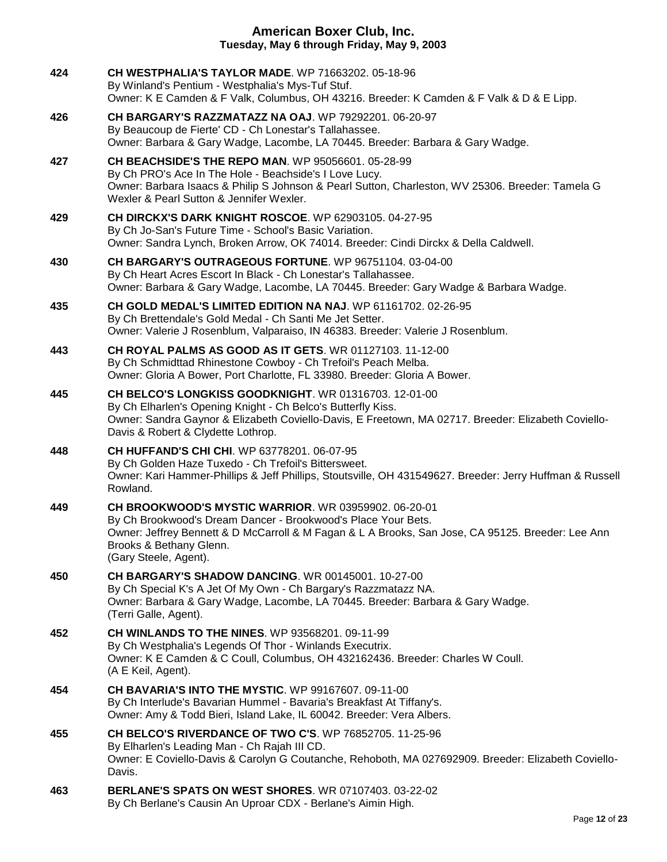| 424 | CH WESTPHALIA'S TAYLOR MADE. WP 71663202. 05-18-96<br>By Winland's Pentium - Westphalia's Mys-Tuf Stuf.<br>Owner: K E Camden & F Valk, Columbus, OH 43216. Breeder: K Camden & F Valk & D & E Lipp.                                                                            |
|-----|--------------------------------------------------------------------------------------------------------------------------------------------------------------------------------------------------------------------------------------------------------------------------------|
| 426 | CH BARGARY'S RAZZMATAZZ NA OAJ. WP 79292201. 06-20-97<br>By Beaucoup de Fierte' CD - Ch Lonestar's Tallahassee.<br>Owner: Barbara & Gary Wadge, Lacombe, LA 70445. Breeder: Barbara & Gary Wadge.                                                                              |
| 427 | <b>CH BEACHSIDE'S THE REPO MAN. WP 95056601. 05-28-99</b><br>By Ch PRO's Ace In The Hole - Beachside's I Love Lucy.<br>Owner: Barbara Isaacs & Philip S Johnson & Pearl Sutton, Charleston, WV 25306. Breeder: Tamela G<br>Wexler & Pearl Sutton & Jennifer Wexler.            |
| 429 | CH DIRCKX'S DARK KNIGHT ROSCOE. WP 62903105. 04-27-95<br>By Ch Jo-San's Future Time - School's Basic Variation.<br>Owner: Sandra Lynch, Broken Arrow, OK 74014. Breeder: Cindi Dirckx & Della Caldwell.                                                                        |
| 430 | CH BARGARY'S OUTRAGEOUS FORTUNE. WP 96751104. 03-04-00<br>By Ch Heart Acres Escort In Black - Ch Lonestar's Tallahassee.<br>Owner: Barbara & Gary Wadge, Lacombe, LA 70445. Breeder: Gary Wadge & Barbara Wadge.                                                               |
| 435 | CH GOLD MEDAL'S LIMITED EDITION NA NAJ. WP 61161702. 02-26-95<br>By Ch Brettendale's Gold Medal - Ch Santi Me Jet Setter.<br>Owner: Valerie J Rosenblum, Valparaiso, IN 46383. Breeder: Valerie J Rosenblum.                                                                   |
| 443 | CH ROYAL PALMS AS GOOD AS IT GETS. WR 01127103. 11-12-00<br>By Ch Schmidttad Rhinestone Cowboy - Ch Trefoil's Peach Melba.<br>Owner: Gloria A Bower, Port Charlotte, FL 33980. Breeder: Gloria A Bower.                                                                        |
| 445 | CH BELCO'S LONGKISS GOODKNIGHT. WR 01316703. 12-01-00<br>By Ch Elharlen's Opening Knight - Ch Belco's Butterfly Kiss.<br>Owner: Sandra Gaynor & Elizabeth Coviello-Davis, E Freetown, MA 02717. Breeder: Elizabeth Coviello-<br>Davis & Robert & Clydette Lothrop.             |
| 448 | <b>CH HUFFAND'S CHI CHI. WP 63778201. 06-07-95</b><br>By Ch Golden Haze Tuxedo - Ch Trefoil's Bittersweet.<br>Owner: Kari Hammer-Phillips & Jeff Phillips, Stoutsville, OH 431549627. Breeder: Jerry Huffman & Russell<br>Rowland.                                             |
| 449 | CH BROOKWOOD'S MYSTIC WARRIOR. WR 03959902. 06-20-01<br>By Ch Brookwood's Dream Dancer - Brookwood's Place Your Bets.<br>Owner: Jeffrey Bennett & D McCarroll & M Fagan & L A Brooks, San Jose, CA 95125. Breeder: Lee Ann<br>Brooks & Bethany Glenn.<br>(Gary Steele, Agent). |
| 450 | <b>CH BARGARY'S SHADOW DANCING. WR 00145001. 10-27-00</b><br>By Ch Special K's A Jet Of My Own - Ch Bargary's Razzmatazz NA.<br>Owner: Barbara & Gary Wadge, Lacombe, LA 70445. Breeder: Barbara & Gary Wadge.<br>(Terri Galle, Agent).                                        |
| 452 | <b>CH WINLANDS TO THE NINES. WP 93568201. 09-11-99</b><br>By Ch Westphalia's Legends Of Thor - Winlands Executrix.<br>Owner: K E Camden & C Coull, Columbus, OH 432162436. Breeder: Charles W Coull.<br>(A E Keil, Agent).                                                     |
| 454 | <b>CH BAVARIA'S INTO THE MYSTIC. WP 99167607. 09-11-00</b><br>By Ch Interlude's Bavarian Hummel - Bavaria's Breakfast At Tiffany's.<br>Owner: Amy & Todd Bieri, Island Lake, IL 60042. Breeder: Vera Albers.                                                                   |
| 455 | CH BELCO'S RIVERDANCE OF TWO C'S. WP 76852705. 11-25-96<br>By Elharlen's Leading Man - Ch Rajah III CD.<br>Owner: E Coviello-Davis & Carolyn G Coutanche, Rehoboth, MA 027692909. Breeder: Elizabeth Coviello-<br>Davis.                                                       |
| 463 | <b>BERLANE'S SPATS ON WEST SHORES. WR 07107403. 03-22-02</b><br>By Ch Berlane's Causin An Uproar CDX - Berlane's Aimin High.                                                                                                                                                   |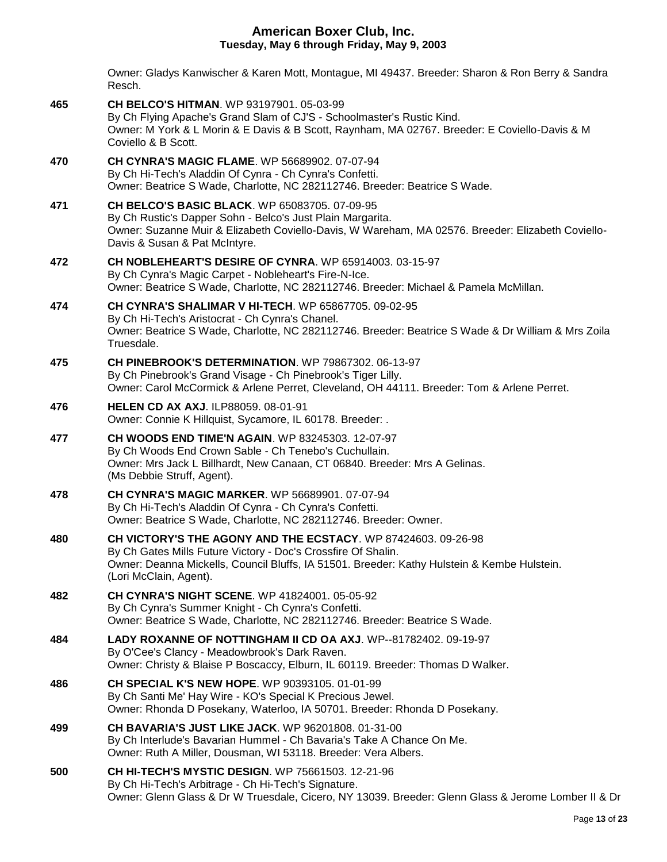Owner: Gladys Kanwischer & Karen Mott, Montague, MI 49437. Breeder: Sharon & Ron Berry & Sandra Resch.

**465 [CH BELCO'S HITMAN](http://infodog.com/my/drlookup2.htm?makc=WP%2093197901&mdog=Ch+Belco%27s+Hitman&wins=all)**. WP 93197901. 05-03-99 By Ch Flying Apache's Grand Slam of CJ'S - Schoolmaster's Rustic Kind. Owner: M York & L Morin & E Davis & B Scott, Raynham, MA 02767. Breeder: E Coviello-Davis & M Coviello & B Scott. **470 [CH CYNRA'S MAGIC FLAME](http://infodog.com/my/drlookup2.htm?makc=WP%2056689902&mdog=Ch+Cynra%27s+Magic+Flame&wins=all)**. WP 56689902. 07-07-94 By Ch Hi-Tech's Aladdin Of Cynra - Ch Cynra's Confetti. Owner: Beatrice S Wade, Charlotte, NC 282112746. Breeder: Beatrice S Wade. **471 [CH BELCO'S BASIC BLACK](http://infodog.com/my/drlookup2.htm?makc=WP%2065083705&mdog=Ch+Belco%27s+Basic+Black&wins=all)**. WP 65083705. 07-09-95 By Ch Rustic's Dapper Sohn - Belco's Just Plain Margarita. Owner: Suzanne Muir & Elizabeth Coviello-Davis, W Wareham, MA 02576. Breeder: Elizabeth Coviello-Davis & Susan & Pat McIntyre. **472 CH [NOBLEHEART'S DESIRE OF CYNRA](http://infodog.com/my/drlookup2.htm?makc=WP%2065914003&mdog=Ch+Nobleheart%27s+Desire+Of+Cynra&wins=all)**. WP 65914003. 03-15-97 By Ch Cynra's Magic Carpet - Nobleheart's Fire-N-Ice. Owner: Beatrice S Wade, Charlotte, NC 282112746. Breeder: Michael & Pamela McMillan. **474 [CH CYNRA'S SHALIMAR V HI-TECH](http://infodog.com/my/drlookup2.htm?makc=WP%2065867705&mdog=Ch+Cynra%27s+Shalimar+V+Hi-Tech&wins=all)**. WP 65867705. 09-02-95 By Ch Hi-Tech's Aristocrat - Ch Cynra's Chanel. Owner: Beatrice S Wade, Charlotte, NC 282112746. Breeder: Beatrice S Wade & Dr William & Mrs Zoila Truesdale. **475 [CH PINEBROOK'S DETERMINATION](http://infodog.com/my/drlookup2.htm?makc=WP%2079867302&mdog=Ch+Pinebrook%27s+Determination&wins=all)**. WP 79867302. 06-13-97 By Ch Pinebrook's Grand Visage - Ch Pinebrook's Tiger Lilly. Owner: Carol McCormick & Arlene Perret, Cleveland, OH 44111. Breeder: Tom & Arlene Perret. **476 [HELEN CD AX AXJ](http://infodog.com/my/drlookup2.htm?makc=ILP88059&mdog=Helen+CD+AX+AXJ&wins=all)**. ILP88059. 08-01-91 Owner: Connie K Hillquist, Sycamore, IL 60178. Breeder: . **477 [CH WOODS END TIME'N AGAIN](http://infodog.com/my/drlookup2.htm?makc=WP%2083245303&mdog=Ch+Woods+End+Time%27N+Again&wins=all)**. WP 83245303. 12-07-97 By Ch Woods End Crown Sable - Ch Tenebo's Cuchullain. Owner: Mrs Jack L Billhardt, New Canaan, CT 06840. Breeder: Mrs A Gelinas. (Ms Debbie Struff, Agent). **478 [CH CYNRA'S MAGIC MARKER](http://infodog.com/my/drlookup2.htm?makc=WP%2056689901&mdog=Ch+Cynra%27s+Magic+Marker&wins=all)**. WP 56689901. 07-07-94 By Ch Hi-Tech's Aladdin Of Cynra - Ch Cynra's Confetti. Owner: Beatrice S Wade, Charlotte, NC 282112746. Breeder: Owner. **480 [CH VICTORY'S THE AGONY AND THE ECSTACY](http://infodog.com/my/drlookup2.htm?makc=WP%2087424603&mdog=Ch+Victory%27s+The+Agony+And+The+Ecstacy&wins=all)**. WP 87424603. 09-26-98 By Ch Gates Mills Future Victory - Doc's Crossfire Of Shalin. Owner: Deanna Mickells, Council Bluffs, IA 51501. Breeder: Kathy Hulstein & Kembe Hulstein. (Lori McClain, Agent). **482 [CH CYNRA'S NIGHT SCENE](http://infodog.com/my/drlookup2.htm?makc=WP%2041824001&mdog=Ch+Cynra%27s+Night+Scene&wins=all)**. WP 41824001. 05-05-92 By Ch Cynra's Summer Knight - Ch Cynra's Confetti. Owner: Beatrice S Wade, Charlotte, NC 282112746. Breeder: Beatrice S Wade. **484 [LADY ROXANNE OF NOTTINGHAM II CD OA AXJ](http://infodog.com/my/drlookup2.htm?makc=WP--81782402&mdog=Lady+Roxanne+Of+Nottingham+II+CD+OA+AXJ&wins=all)**. WP--81782402. 09-19-97 By O'Cee's Clancy - Meadowbrook's Dark Raven. Owner: Christy & Blaise P Boscaccy, Elburn, IL 60119. Breeder: Thomas D Walker. **486 [CH SPECIAL K'S NEW HOPE](http://infodog.com/my/drlookup2.htm?makc=WP%2090393105&mdog=Ch+Special+K%27s+New+Hope&wins=all)**. WP 90393105. 01-01-99 By Ch Santi Me' Hay Wire - KO's Special K Precious Jewel. Owner: Rhonda D Posekany, Waterloo, IA 50701. Breeder: Rhonda D Posekany. **499 [CH BAVARIA'S JUST LIKE JACK](http://infodog.com/my/drlookup2.htm?makc=WP%2096201808&mdog=Ch+Bavaria%27s+Just+Like+Jack&wins=all)**. WP 96201808. 01-31-00 By Ch Interlude's Bavarian Hummel - Ch Bavaria's Take A Chance On Me. Owner: Ruth A Miller, Dousman, WI 53118. Breeder: Vera Albers. **500 [CH HI-TECH'S MYSTIC DESIGN](http://infodog.com/my/drlookup2.htm?makc=WP%2075661503&mdog=Ch+Hi-Tech%27s+Mystic+Design&wins=all)**. WP 75661503. 12-21-96 By Ch Hi-Tech's Arbitrage - Ch Hi-Tech's Signature. Owner: Glenn Glass & Dr W Truesdale, Cicero, NY 13039. Breeder: Glenn Glass & Jerome Lomber II & Dr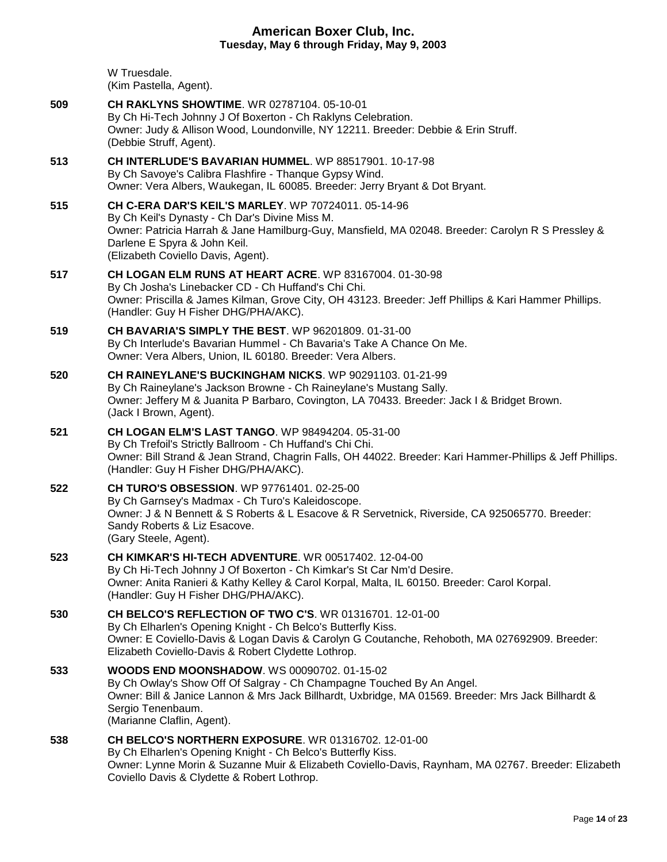|     | Tuesuay, May 6 through Friuay, May 9, 2003                                                                                                                                                                                                                                            |
|-----|---------------------------------------------------------------------------------------------------------------------------------------------------------------------------------------------------------------------------------------------------------------------------------------|
|     | W Truesdale.<br>(Kim Pastella, Agent).                                                                                                                                                                                                                                                |
| 509 | <b>CH RAKLYNS SHOWTIME.</b> WR 02787104, 05-10-01<br>By Ch Hi-Tech Johnny J Of Boxerton - Ch Raklyns Celebration.<br>Owner: Judy & Allison Wood, Loundonville, NY 12211. Breeder: Debbie & Erin Struff.<br>(Debbie Struff, Agent).                                                    |
| 513 | CH INTERLUDE'S BAVARIAN HUMMEL. WP 88517901. 10-17-98<br>By Ch Savoye's Calibra Flashfire - Thanque Gypsy Wind.<br>Owner: Vera Albers, Waukegan, IL 60085. Breeder: Jerry Bryant & Dot Bryant.                                                                                        |
| 515 | CH C-ERA DAR'S KEIL'S MARLEY. WP 70724011, 05-14-96<br>By Ch Keil's Dynasty - Ch Dar's Divine Miss M.<br>Owner: Patricia Harrah & Jane Hamilburg-Guy, Mansfield, MA 02048. Breeder: Carolyn R S Pressley &<br>Darlene E Spyra & John Keil.<br>(Elizabeth Coviello Davis, Agent).      |
| 517 | CH LOGAN ELM RUNS AT HEART ACRE. WP 83167004. 01-30-98<br>By Ch Josha's Linebacker CD - Ch Huffand's Chi Chi.<br>Owner: Priscilla & James Kilman, Grove City, OH 43123. Breeder: Jeff Phillips & Kari Hammer Phillips.<br>(Handler: Guy H Fisher DHG/PHA/AKC).                        |
| 519 | <b>CH BAVARIA'S SIMPLY THE BEST. WP 96201809. 01-31-00</b><br>By Ch Interlude's Bavarian Hummel - Ch Bavaria's Take A Chance On Me.<br>Owner: Vera Albers, Union, IL 60180. Breeder: Vera Albers.                                                                                     |
| 520 | CH RAINEYLANE'S BUCKINGHAM NICKS. WP 90291103. 01-21-99<br>By Ch Raineylane's Jackson Browne - Ch Raineylane's Mustang Sally.<br>Owner: Jeffery M & Juanita P Barbaro, Covington, LA 70433. Breeder: Jack I & Bridget Brown.<br>(Jack I Brown, Agent).                                |
| 521 | <b>CH LOGAN ELM'S LAST TANGO. WP 98494204. 05-31-00</b><br>By Ch Trefoil's Strictly Ballroom - Ch Huffand's Chi Chi.<br>Owner: Bill Strand & Jean Strand, Chagrin Falls, OH 44022. Breeder: Kari Hammer-Phillips & Jeff Phillips.<br>(Handler: Guy H Fisher DHG/PHA/AKC).             |
| 522 | CH TURO'S OBSESSION. WP 97761401. 02-25-00<br>By Ch Garnsey's Madmax - Ch Turo's Kaleidoscope.<br>Owner: J & N Bennett & S Roberts & L Esacove & R Servetnick, Riverside, CA 925065770. Breeder:<br>Sandy Roberts & Liz Esacove.<br>(Gary Steele, Agent).                             |
| 523 | <b>CH KIMKAR'S HI-TECH ADVENTURE.</b> WR 00517402. 12-04-00<br>By Ch Hi-Tech Johnny J Of Boxerton - Ch Kimkar's St Car Nm'd Desire.<br>Owner: Anita Ranieri & Kathy Kelley & Carol Korpal, Malta, IL 60150. Breeder: Carol Korpal.<br>(Handler: Guy H Fisher DHG/PHA/AKC).            |
| 530 | CH BELCO'S REFLECTION OF TWO C'S. WR 01316701, 12-01-00<br>By Ch Elharlen's Opening Knight - Ch Belco's Butterfly Kiss.<br>Owner: E Coviello-Davis & Logan Davis & Carolyn G Coutanche, Rehoboth, MA 027692909. Breeder:<br>Elizabeth Coviello-Davis & Robert Clydette Lothrop.       |
| 533 | <b>WOODS END MOONSHADOW.</b> WS 00090702, 01-15-02<br>By Ch Owlay's Show Off Of Salgray - Ch Champagne Touched By An Angel.<br>Owner: Bill & Janice Lannon & Mrs Jack Billhardt, Uxbridge, MA 01569. Breeder: Mrs Jack Billhardt &<br>Sergio Tenenbaum.<br>(Marianne Claflin, Agent). |
| 538 | <b>CH BELCO'S NORTHERN EXPOSURE.</b> WR 01316702. 12-01-00<br>By Ch Elharlen's Opening Knight - Ch Belco's Butterfly Kiss.<br>Owner: Lynne Morin & Suzanne Muir & Elizabeth Coviello-Davis, Raynham, MA 02767. Breeder: Elizabeth<br>Coviello Davis & Clydette & Robert Lothrop.      |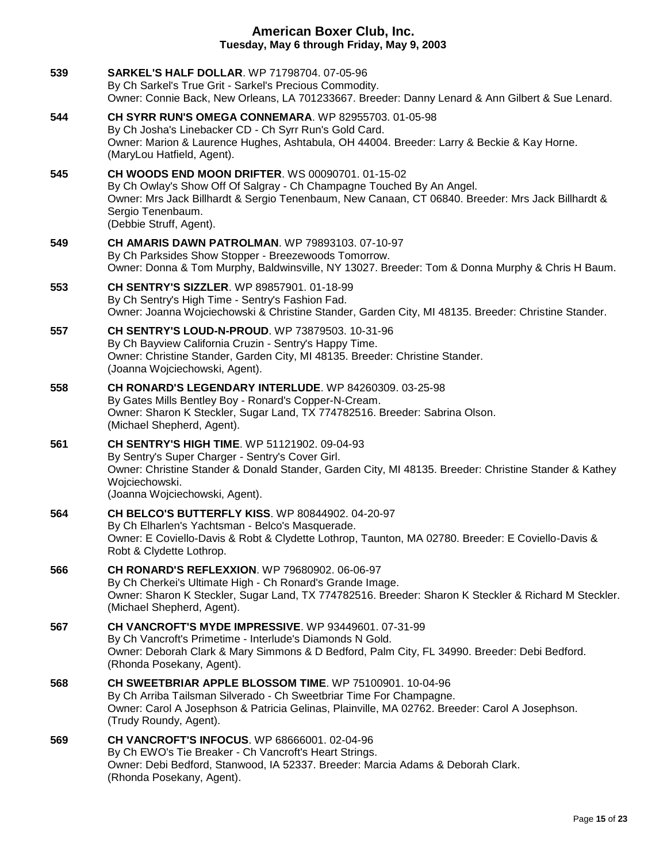| 539 | <b>SARKEL'S HALF DOLLAR. WP 71798704. 07-05-96</b><br>By Ch Sarkel's True Grit - Sarkel's Precious Commodity.<br>Owner: Connie Back, New Orleans, LA 701233667. Breeder: Danny Lenard & Ann Gilbert & Sue Lenard.                                                                     |
|-----|---------------------------------------------------------------------------------------------------------------------------------------------------------------------------------------------------------------------------------------------------------------------------------------|
| 544 | CH SYRR RUN'S OMEGA CONNEMARA. WP 82955703. 01-05-98<br>By Ch Josha's Linebacker CD - Ch Syrr Run's Gold Card.<br>Owner: Marion & Laurence Hughes, Ashtabula, OH 44004. Breeder: Larry & Beckie & Kay Horne.<br>(MaryLou Hatfield, Agent).                                            |
| 545 | <b>CH WOODS END MOON DRIFTER. WS 00090701. 01-15-02</b><br>By Ch Owlay's Show Off Of Salgray - Ch Champagne Touched By An Angel.<br>Owner: Mrs Jack Billhardt & Sergio Tenenbaum, New Canaan, CT 06840. Breeder: Mrs Jack Billhardt &<br>Sergio Tenenbaum.<br>(Debbie Struff, Agent). |
| 549 | <b>CH AMARIS DAWN PATROLMAN.</b> WP 79893103. 07-10-97<br>By Ch Parksides Show Stopper - Breezewoods Tomorrow.<br>Owner: Donna & Tom Murphy, Baldwinsville, NY 13027. Breeder: Tom & Donna Murphy & Chris H Baum.                                                                     |
| 553 | CH SENTRY'S SIZZLER. WP 89857901. 01-18-99<br>By Ch Sentry's High Time - Sentry's Fashion Fad.<br>Owner: Joanna Wojciechowski & Christine Stander, Garden City, MI 48135. Breeder: Christine Stander.                                                                                 |
| 557 | CH SENTRY'S LOUD-N-PROUD. WP 73879503. 10-31-96<br>By Ch Bayview California Cruzin - Sentry's Happy Time.<br>Owner: Christine Stander, Garden City, MI 48135. Breeder: Christine Stander.<br>(Joanna Wojciechowski, Agent).                                                           |
| 558 | CH RONARD'S LEGENDARY INTERLUDE. WP 84260309. 03-25-98<br>By Gates Mills Bentley Boy - Ronard's Copper-N-Cream.<br>Owner: Sharon K Steckler, Sugar Land, TX 774782516. Breeder: Sabrina Olson.<br>(Michael Shepherd, Agent).                                                          |
| 561 | CH SENTRY'S HIGH TIME. WP 51121902. 09-04-93<br>By Sentry's Super Charger - Sentry's Cover Girl.<br>Owner: Christine Stander & Donald Stander, Garden City, MI 48135. Breeder: Christine Stander & Kathey<br>Wojciechowski.<br>(Joanna Wojciechowski, Agent).                         |
| 564 | CH BELCO'S BUTTERFLY KISS. WP 80844902. 04-20-97<br>By Ch Elharlen's Yachtsman - Belco's Masquerade.<br>Owner: E Coviello-Davis & Robt & Clydette Lothrop, Taunton, MA 02780. Breeder: E Coviello-Davis &<br>Robt & Clydette Lothrop.                                                 |
| 566 | <b>CH RONARD'S REFLEXXION.</b> WP 79680902. 06-06-97<br>By Ch Cherkei's Ultimate High - Ch Ronard's Grande Image.<br>Owner: Sharon K Steckler, Sugar Land, TX 774782516. Breeder: Sharon K Steckler & Richard M Steckler.<br>(Michael Shepherd, Agent).                               |
| 567 | CH VANCROFT'S MYDE IMPRESSIVE. WP 93449601. 07-31-99<br>By Ch Vancroft's Primetime - Interlude's Diamonds N Gold.<br>Owner: Deborah Clark & Mary Simmons & D Bedford, Palm City, FL 34990. Breeder: Debi Bedford.<br>(Rhonda Posekany, Agent).                                        |
| 568 | <b>CH SWEETBRIAR APPLE BLOSSOM TIME.</b> WP 75100901, 10-04-96<br>By Ch Arriba Tailsman Silverado - Ch Sweetbriar Time For Champagne.<br>Owner: Carol A Josephson & Patricia Gelinas, Plainville, MA 02762. Breeder: Carol A Josephson.<br>(Trudy Roundy, Agent).                     |
| 569 | <b>CH VANCROFT'S INFOCUS. WP 68666001. 02-04-96</b><br>By Ch EWO's Tie Breaker - Ch Vancroft's Heart Strings.<br>Owner: Debi Bedford, Stanwood, IA 52337. Breeder: Marcia Adams & Deborah Clark.<br>(Rhonda Posekany, Agent).                                                         |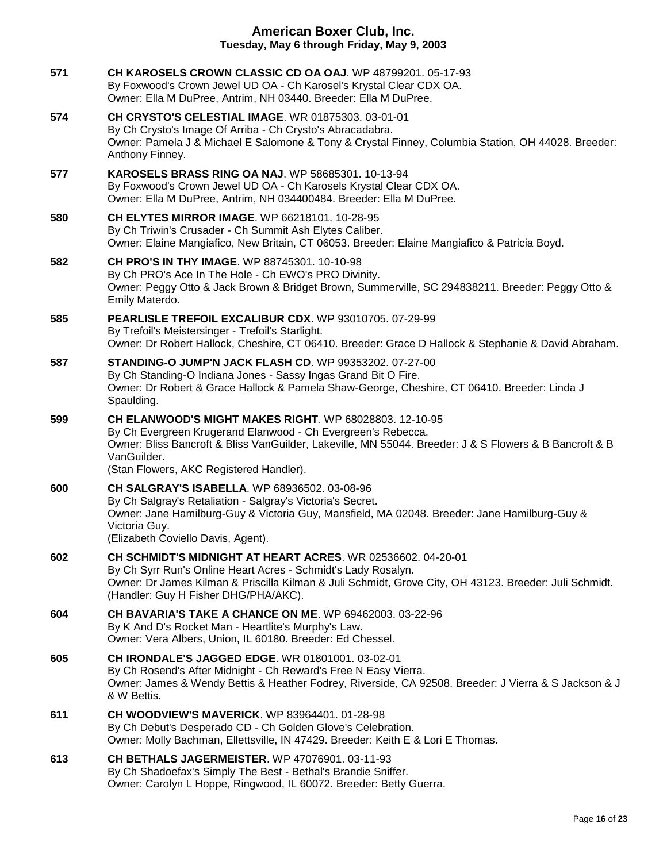| 571 | CH KAROSELS CROWN CLASSIC CD OA OAJ. WP 48799201. 05-17-93<br>By Foxwood's Crown Jewel UD OA - Ch Karosel's Krystal Clear CDX OA.<br>Owner: Ella M DuPree, Antrim, NH 03440. Breeder: Ella M DuPree.                                                                                              |
|-----|---------------------------------------------------------------------------------------------------------------------------------------------------------------------------------------------------------------------------------------------------------------------------------------------------|
| 574 | <b>CH CRYSTO'S CELESTIAL IMAGE. WR 01875303. 03-01-01</b><br>By Ch Crysto's Image Of Arriba - Ch Crysto's Abracadabra.<br>Owner: Pamela J & Michael E Salomone & Tony & Crystal Finney, Columbia Station, OH 44028. Breeder:<br>Anthony Finney.                                                   |
| 577 | <b>KAROSELS BRASS RING OA NAJ. WP 58685301. 10-13-94</b><br>By Foxwood's Crown Jewel UD OA - Ch Karosels Krystal Clear CDX OA.<br>Owner: Ella M DuPree, Antrim, NH 034400484. Breeder: Ella M DuPree.                                                                                             |
| 580 | <b>CH ELYTES MIRROR IMAGE. WP 66218101, 10-28-95</b><br>By Ch Triwin's Crusader - Ch Summit Ash Elytes Caliber.<br>Owner: Elaine Mangiafico, New Britain, CT 06053. Breeder: Elaine Mangiafico & Patricia Boyd.                                                                                   |
| 582 | CH PRO'S IN THY IMAGE. WP 88745301. 10-10-98<br>By Ch PRO's Ace In The Hole - Ch EWO's PRO Divinity.<br>Owner: Peggy Otto & Jack Brown & Bridget Brown, Summerville, SC 294838211. Breeder: Peggy Otto &<br>Emily Materdo.                                                                        |
| 585 | PEARLISLE TREFOIL EXCALIBUR CDX. WP 93010705. 07-29-99<br>By Trefoil's Meistersinger - Trefoil's Starlight.<br>Owner: Dr Robert Hallock, Cheshire, CT 06410. Breeder: Grace D Hallock & Stephanie & David Abraham.                                                                                |
| 587 | STANDING-O JUMP'N JACK FLASH CD. WP 99353202. 07-27-00<br>By Ch Standing-O Indiana Jones - Sassy Ingas Grand Bit O Fire.<br>Owner: Dr Robert & Grace Hallock & Pamela Shaw-George, Cheshire, CT 06410. Breeder: Linda J<br>Spaulding.                                                             |
| 599 | <b>CH ELANWOOD'S MIGHT MAKES RIGHT.</b> WP 68028803, 12-10-95<br>By Ch Evergreen Krugerand Elanwood - Ch Evergreen's Rebecca.<br>Owner: Bliss Bancroft & Bliss VanGuilder, Lakeville, MN 55044. Breeder: J & S Flowers & B Bancroft & B<br>VanGuilder.<br>(Stan Flowers, AKC Registered Handler). |
| 600 | <b>CH SALGRAY'S ISABELLA.</b> WP 68936502. 03-08-96<br>By Ch Salgray's Retaliation - Salgray's Victoria's Secret.<br>Owner: Jane Hamilburg-Guy & Victoria Guy, Mansfield, MA 02048. Breeder: Jane Hamilburg-Guy &<br>Victoria Guy.<br>(Elizabeth Coviello Davis, Agent).                          |
| 602 | CH SCHMIDT'S MIDNIGHT AT HEART ACRES. WR 02536602. 04-20-01<br>By Ch Syrr Run's Online Heart Acres - Schmidt's Lady Rosalyn.<br>Owner: Dr James Kilman & Priscilla Kilman & Juli Schmidt, Grove City, OH 43123. Breeder: Juli Schmidt.<br>(Handler: Guy H Fisher DHG/PHA/AKC).                    |
| 604 | CH BAVARIA'S TAKE A CHANCE ON ME. WP 69462003. 03-22-96<br>By K And D's Rocket Man - Heartlite's Murphy's Law.<br>Owner: Vera Albers, Union, IL 60180. Breeder: Ed Chessel.                                                                                                                       |
| 605 | <b>CH IRONDALE'S JAGGED EDGE. WR 01801001. 03-02-01</b><br>By Ch Rosend's After Midnight - Ch Reward's Free N Easy Vierra.<br>Owner: James & Wendy Bettis & Heather Fodrey, Riverside, CA 92508. Breeder: J Vierra & S Jackson & J<br>& W Bettis.                                                 |
| 611 | <b>CH WOODVIEW'S MAVERICK.</b> WP 83964401. 01-28-98<br>By Ch Debut's Desperado CD - Ch Golden Glove's Celebration.<br>Owner: Molly Bachman, Ellettsville, IN 47429. Breeder: Keith E & Lori E Thomas.                                                                                            |
| 613 | <b>CH BETHALS JAGERMEISTER. WP 47076901. 03-11-93</b><br>By Ch Shadoefax's Simply The Best - Bethal's Brandie Sniffer.<br>Owner: Carolyn L Hoppe, Ringwood, IL 60072. Breeder: Betty Guerra.                                                                                                      |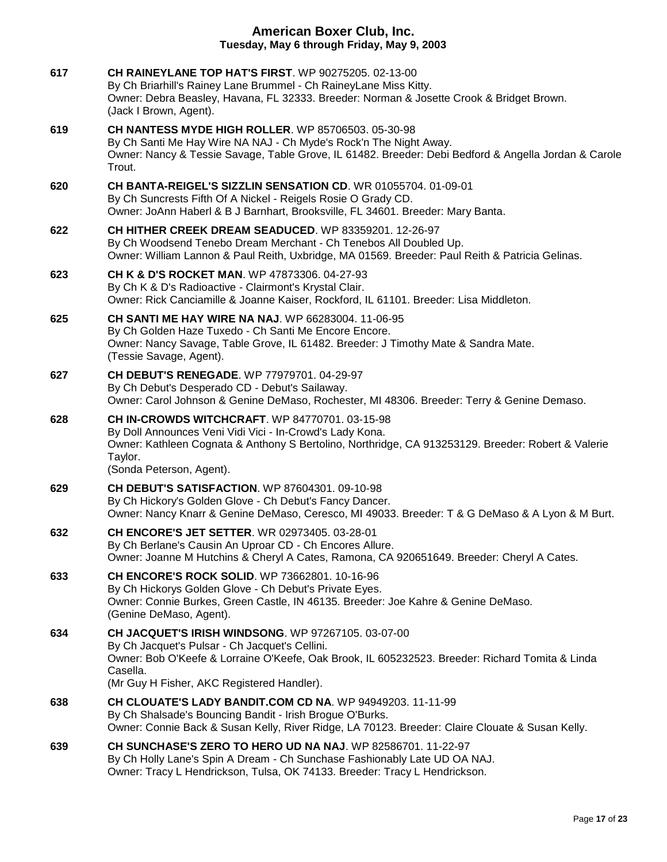| 617 | <b>CH RAINEYLANE TOP HAT'S FIRST.</b> WP 90275205, 02-13-00<br>By Ch Briarhill's Rainey Lane Brummel - Ch RaineyLane Miss Kitty.<br>Owner: Debra Beasley, Havana, FL 32333. Breeder: Norman & Josette Crook & Bridget Brown.<br>(Jack I Brown, Agent).                   |
|-----|--------------------------------------------------------------------------------------------------------------------------------------------------------------------------------------------------------------------------------------------------------------------------|
| 619 | <b>CH NANTESS MYDE HIGH ROLLER.</b> WP 85706503. 05-30-98<br>By Ch Santi Me Hay Wire NA NAJ - Ch Myde's Rock'n The Night Away.<br>Owner: Nancy & Tessie Savage, Table Grove, IL 61482. Breeder: Debi Bedford & Angella Jordan & Carole<br>Trout.                         |
| 620 | CH BANTA-REIGEL'S SIZZLIN SENSATION CD. WR 01055704. 01-09-01<br>By Ch Suncrests Fifth Of A Nickel - Reigels Rosie O Grady CD.<br>Owner: JoAnn Haberl & B J Barnhart, Brooksville, FL 34601. Breeder: Mary Banta.                                                        |
| 622 | CH HITHER CREEK DREAM SEADUCED. WP 83359201. 12-26-97<br>By Ch Woodsend Tenebo Dream Merchant - Ch Tenebos All Doubled Up.<br>Owner: William Lannon & Paul Reith, Uxbridge, MA 01569. Breeder: Paul Reith & Patricia Gelinas.                                            |
| 623 | <b>CH K &amp; D'S ROCKET MAN. WP 47873306. 04-27-93</b><br>By Ch K & D's Radioactive - Clairmont's Krystal Clair.<br>Owner: Rick Canciamille & Joanne Kaiser, Rockford, IL 61101. Breeder: Lisa Middleton.                                                               |
| 625 | <b>CH SANTI ME HAY WIRE NA NAJ.</b> WP 66283004, 11-06-95<br>By Ch Golden Haze Tuxedo - Ch Santi Me Encore Encore.<br>Owner: Nancy Savage, Table Grove, IL 61482. Breeder: J Timothy Mate & Sandra Mate.<br>(Tessie Savage, Agent).                                      |
| 627 | <b>CH DEBUT'S RENEGADE. WP 77979701. 04-29-97</b><br>By Ch Debut's Desperado CD - Debut's Sailaway.<br>Owner: Carol Johnson & Genine DeMaso, Rochester, MI 48306. Breeder: Terry & Genine Demaso.                                                                        |
| 628 | <b>CH IN-CROWDS WITCHCRAFT. WP 84770701. 03-15-98</b><br>By Doll Announces Veni Vidi Vici - In-Crowd's Lady Kona.<br>Owner: Kathleen Cognata & Anthony S Bertolino, Northridge, CA 913253129. Breeder: Robert & Valerie<br>Taylor.<br>(Sonda Peterson, Agent).           |
| 629 | <b>CH DEBUT'S SATISFACTION.</b> WP 87604301. 09-10-98<br>By Ch Hickory's Golden Glove - Ch Debut's Fancy Dancer.<br>Owner: Nancy Knarr & Genine DeMaso, Ceresco, MI 49033. Breeder: T & G DeMaso & A Lyon & M Burt.                                                      |
| 632 | <b>CH ENCORE'S JET SETTER. WR 02973405. 03-28-01</b><br>By Ch Berlane's Causin An Uproar CD - Ch Encores Allure.<br>Owner: Joanne M Hutchins & Cheryl A Cates, Ramona, CA 920651649. Breeder: Cheryl A Cates.                                                            |
| 633 | CH ENCORE'S ROCK SOLID. WP 73662801. 10-16-96<br>By Ch Hickorys Golden Glove - Ch Debut's Private Eyes.<br>Owner: Connie Burkes, Green Castle, IN 46135. Breeder: Joe Kahre & Genine DeMaso.<br>(Genine DeMaso, Agent).                                                  |
| 634 | <b>CH JACQUET'S IRISH WINDSONG. WP 97267105. 03-07-00</b><br>By Ch Jacquet's Pulsar - Ch Jacquet's Cellini.<br>Owner: Bob O'Keefe & Lorraine O'Keefe, Oak Brook, IL 605232523. Breeder: Richard Tomita & Linda<br>Casella.<br>(Mr Guy H Fisher, AKC Registered Handler). |
| 638 | <b>CH CLOUATE'S LADY BANDIT.COM CD NA. WP 94949203. 11-11-99</b><br>By Ch Shalsade's Bouncing Bandit - Irish Brogue O'Burks.<br>Owner: Connie Back & Susan Kelly, River Ridge, LA 70123. Breeder: Claire Clouate & Susan Kelly.                                          |
| 639 | <b>CH SUNCHASE'S ZERO TO HERO UD NA NAJ.</b> WP 82586701, 11-22-97<br>By Ch Holly Lane's Spin A Dream - Ch Sunchase Fashionably Late UD OA NAJ.<br>Owner: Tracy L Hendrickson, Tulsa, OK 74133. Breeder: Tracy L Hendrickson.                                            |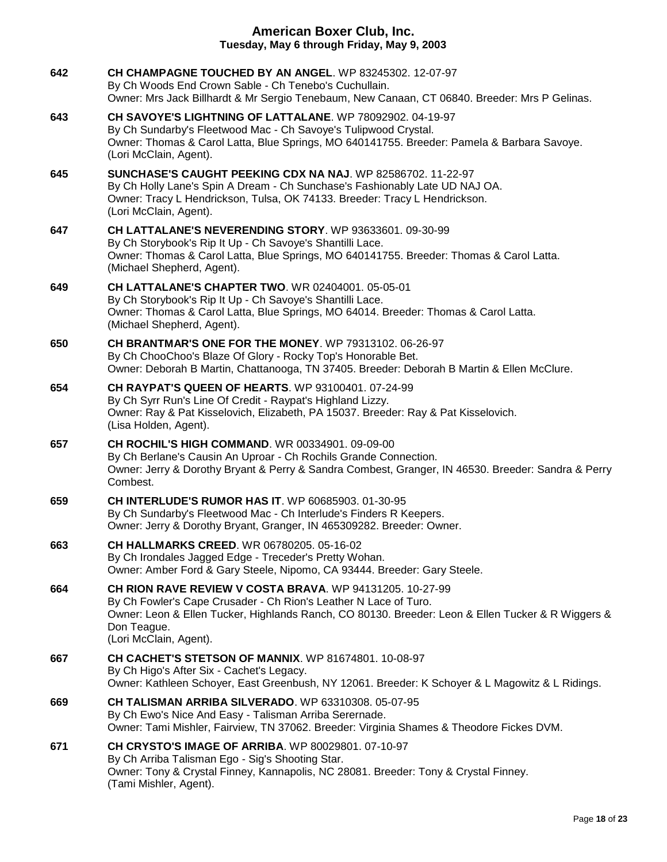| 642 | CH CHAMPAGNE TOUCHED BY AN ANGEL. WP 83245302. 12-07-97<br>By Ch Woods End Crown Sable - Ch Tenebo's Cuchullain.<br>Owner: Mrs Jack Billhardt & Mr Sergio Tenebaum, New Canaan, CT 06840. Breeder: Mrs P Gelinas.                                                          |
|-----|----------------------------------------------------------------------------------------------------------------------------------------------------------------------------------------------------------------------------------------------------------------------------|
| 643 | CH SAVOYE'S LIGHTNING OF LATTALANE, WP 78092902, 04-19-97<br>By Ch Sundarby's Fleetwood Mac - Ch Savoye's Tulipwood Crystal.<br>Owner: Thomas & Carol Latta, Blue Springs, MO 640141755. Breeder: Pamela & Barbara Savoye.<br>(Lori McClain, Agent).                       |
| 645 | SUNCHASE'S CAUGHT PEEKING CDX NA NAJ. WP 82586702, 11-22-97<br>By Ch Holly Lane's Spin A Dream - Ch Sunchase's Fashionably Late UD NAJ OA.<br>Owner: Tracy L Hendrickson, Tulsa, OK 74133. Breeder: Tracy L Hendrickson.<br>(Lori McClain, Agent).                         |
| 647 | CH LATTALANE'S NEVERENDING STORY. WP 93633601. 09-30-99<br>By Ch Storybook's Rip It Up - Ch Savoye's Shantilli Lace.<br>Owner: Thomas & Carol Latta, Blue Springs, MO 640141755. Breeder: Thomas & Carol Latta.<br>(Michael Shepherd, Agent).                              |
| 649 | CH LATTALANE'S CHAPTER TWO. WR 02404001. 05-05-01<br>By Ch Storybook's Rip It Up - Ch Savoye's Shantilli Lace.<br>Owner: Thomas & Carol Latta, Blue Springs, MO 64014. Breeder: Thomas & Carol Latta.<br>(Michael Shepherd, Agent).                                        |
| 650 | <b>CH BRANTMAR'S ONE FOR THE MONEY.</b> WP 79313102, 06-26-97<br>By Ch ChooChoo's Blaze Of Glory - Rocky Top's Honorable Bet.<br>Owner: Deborah B Martin, Chattanooga, TN 37405. Breeder: Deborah B Martin & Ellen McClure.                                                |
| 654 | <b>CH RAYPAT'S QUEEN OF HEARTS. WP 93100401. 07-24-99</b><br>By Ch Syrr Run's Line Of Credit - Raypat's Highland Lizzy.<br>Owner: Ray & Pat Kisselovich, Elizabeth, PA 15037. Breeder: Ray & Pat Kisselovich.<br>(Lisa Holden, Agent).                                     |
| 657 | <b>CH ROCHIL'S HIGH COMMAND.</b> WR 00334901. 09-09-00<br>By Ch Berlane's Causin An Uproar - Ch Rochils Grande Connection.<br>Owner: Jerry & Dorothy Bryant & Perry & Sandra Combest, Granger, IN 46530. Breeder: Sandra & Perry<br>Combest.                               |
| 659 | <b>CH INTERLUDE'S RUMOR HAS IT. WP 60685903. 01-30-95</b><br>By Ch Sundarby's Fleetwood Mac - Ch Interlude's Finders R Keepers.<br>Owner: Jerry & Dorothy Bryant, Granger, IN 465309282. Breeder: Owner.                                                                   |
| 663 | <b>CH HALLMARKS CREED. WR 06780205. 05-16-02</b><br>By Ch Irondales Jagged Edge - Treceder's Pretty Wohan.<br>Owner: Amber Ford & Gary Steele, Nipomo, CA 93444. Breeder: Gary Steele.                                                                                     |
| 664 | CH RION RAVE REVIEW V COSTA BRAVA. WP 94131205. 10-27-99<br>By Ch Fowler's Cape Crusader - Ch Rion's Leather N Lace of Turo.<br>Owner: Leon & Ellen Tucker, Highlands Ranch, CO 80130. Breeder: Leon & Ellen Tucker & R Wiggers &<br>Don Teague.<br>(Lori McClain, Agent). |
| 667 | CH CACHET'S STETSON OF MANNIX. WP 81674801, 10-08-97<br>By Ch Higo's After Six - Cachet's Legacy.<br>Owner: Kathleen Schoyer, East Greenbush, NY 12061. Breeder: K Schoyer & L Magowitz & L Ridings.                                                                       |
| 669 | CH TALISMAN ARRIBA SILVERADO. WP 63310308. 05-07-95<br>By Ch Ewo's Nice And Easy - Talisman Arriba Serernade.<br>Owner: Tami Mishler, Fairview, TN 37062. Breeder: Virginia Shames & Theodore Fickes DVM.                                                                  |
| 671 | CH CRYSTO'S IMAGE OF ARRIBA. WP 80029801. 07-10-97<br>By Ch Arriba Talisman Ego - Sig's Shooting Star.<br>Owner: Tony & Crystal Finney, Kannapolis, NC 28081. Breeder: Tony & Crystal Finney.<br>(Tami Mishler, Agent).                                                    |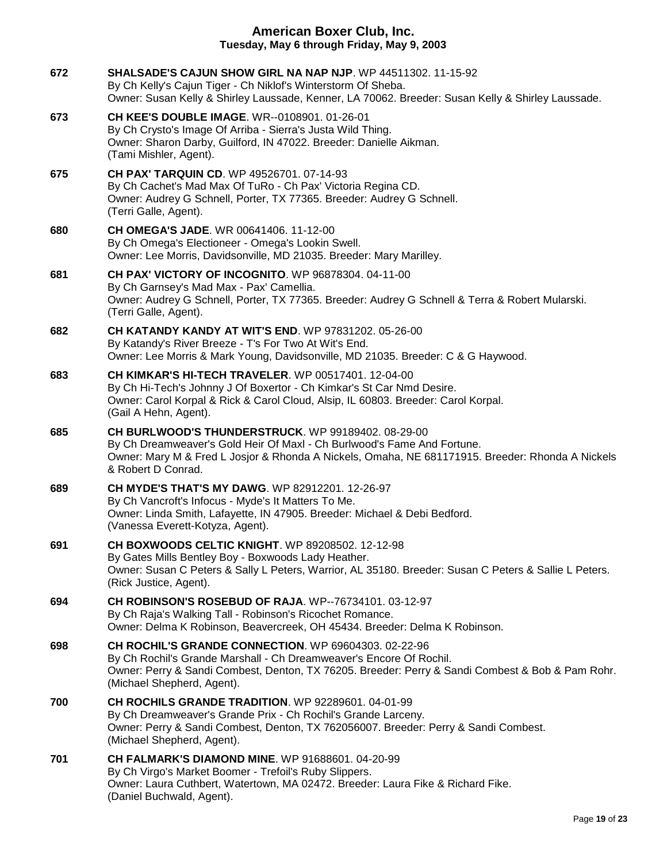**672 [SHALSADE'S CAJUN SHOW GIRL NA NAP NJP](http://infodog.com/my/drlookup2.htm?makc=WP%2044511302&mdog=Shalsade%27s+Cajun+Show+Girl+NA+NAP+NJP&wins=all)**. WP 44511302. 11-15-92 By Ch Kelly's Cajun Tiger - Ch Niklof's Winterstorm Of Sheba. Owner: Susan Kelly & Shirley Laussade, Kenner, LA 70062. Breeder: Susan Kelly & Shirley Laussade. **673 [CH KEE'S DOUBLE IMAGE](http://infodog.com/my/drlookup2.htm?makc=WR--0108901&mdog=Ch+Kee%27s+Double+Image&wins=all)**. WR--0108901. 01-26-01 By Ch Crysto's Image Of Arriba - Sierra's Justa Wild Thing. Owner: Sharon Darby, Guilford, IN 47022. Breeder: Danielle Aikman. (Tami Mishler, Agent). **675 [CH PAX' TARQUIN CD](http://infodog.com/my/drlookup2.htm?makc=WP%2049526701&mdog=Ch+Pax%27+Tarquin+CD&wins=all)**. WP 49526701. 07-14-93 By Ch Cachet's Mad Max Of TuRo - Ch Pax' Victoria Regina CD. Owner: Audrey G Schnell, Porter, TX 77365. Breeder: Audrey G Schnell. (Terri Galle, Agent). **680 [CH OMEGA'S JADE](http://infodog.com/my/drlookup2.htm?makc=WR%2000641406&mdog=Ch+Omega%27s+Jade&wins=all)**. WR 00641406. 11-12-00 By Ch Omega's Electioneer - Omega's Lookin Swell. Owner: Lee Morris, Davidsonville, MD 21035. Breeder: Mary Marilley. **681 [CH PAX' VICTORY OF INCOGNITO](http://infodog.com/my/drlookup2.htm?makc=WP%2096878304&mdog=Ch+Pax%27+Victory+Of+Incognito&wins=all)**. WP 96878304. 04-11-00 By Ch Garnsey's Mad Max - Pax' Camellia. Owner: Audrey G Schnell, Porter, TX 77365. Breeder: Audrey G Schnell & Terra & Robert Mularski. (Terri Galle, Agent). **682 [CH KATANDY KANDY AT WIT'S END](http://infodog.com/my/drlookup2.htm?makc=WP%2097831202&mdog=Ch+Katandy+Kandy+At+Wit%27s+End&wins=all)**. WP 97831202. 05-26-00 By Katandy's River Breeze - T's For Two At Wit's End. Owner: Lee Morris & Mark Young, Davidsonville, MD 21035. Breeder: C & G Haywood. **683 [CH KIMKAR'S HI-TECH TRAVELER](http://infodog.com/my/drlookup2.htm?makc=WP%2000517401&mdog=Ch+Kimkar%27s+Hi-Tech+Traveler&wins=all)**. WP 00517401. 12-04-00 By Ch Hi-Tech's Johnny J Of Boxertor - Ch Kimkar's St Car Nmd Desire. Owner: Carol Korpal & Rick & Carol Cloud, Alsip, IL 60803. Breeder: Carol Korpal. (Gail A Hehn, Agent). **685 [CH BURLWOOD'S THUNDERSTRUCK](http://infodog.com/my/drlookup2.htm?makc=WP%2099189402&mdog=Ch+Burlwood%27s+ThunderStruck&wins=all)**. WP 99189402. 08-29-00 By Ch Dreamweaver's Gold Heir Of Maxl - Ch Burlwood's Fame And Fortune. Owner: Mary M & Fred L Josjor & Rhonda A Nickels, Omaha, NE 681171915. Breeder: Rhonda A Nickels & Robert D Conrad. **689 [CH MYDE'S THAT'S MY DAWG](http://infodog.com/my/drlookup2.htm?makc=WP%2082912201&mdog=Ch+Myde%27s+That%27s+My+Dawg&wins=all)**. WP 82912201. 12-26-97 By Ch Vancroft's Infocus - Myde's It Matters To Me. Owner: Linda Smith, Lafayette, IN 47905. Breeder: Michael & Debi Bedford. (Vanessa Everett-Kotyza, Agent). **691 [CH BOXWOODS CELTIC KNIGHT](http://infodog.com/my/drlookup2.htm?makc=WP%2089208502&mdog=Ch+Boxwoods+Celtic+Knight&wins=all)**. WP 89208502. 12-12-98 By Gates Mills Bentley Boy - Boxwoods Lady Heather. Owner: Susan C Peters & Sally L Peters, Warrior, AL 35180. Breeder: Susan C Peters & Sallie L Peters. (Rick Justice, Agent). **694 [CH ROBINSON'S ROSEBUD OF RAJA](http://infodog.com/my/drlookup2.htm?makc=WP--76734101&mdog=Ch+Robinson%27s+Rosebud+Of+Raja&wins=all)**. WP--76734101. 03-12-97 By Ch Raja's Walking Tall - Robinson's Ricochet Romance. Owner: Delma K Robinson, Beavercreek, OH 45434. Breeder: Delma K Robinson. **698 [CH ROCHIL'S GRANDE CONNECTION](http://infodog.com/my/drlookup2.htm?makc=WP%2069604303&mdog=Ch+Rochil%27s+Grande+Connection&wins=all)**. WP 69604303. 02-22-96 By Ch Rochil's Grande Marshall - Ch Dreamweaver's Encore Of Rochil. Owner: Perry & Sandi Combest, Denton, TX 76205. Breeder: Perry & Sandi Combest & Bob & Pam Rohr. (Michael Shepherd, Agent). **700 [CH ROCHILS GRANDE TRADITION](http://infodog.com/my/drlookup2.htm?makc=WP%2092289601&mdog=Ch+Rochils+Grande+Tradition&wins=all)**. WP 92289601. 04-01-99 By Ch Dreamweaver's Grande Prix - Ch Rochil's Grande Larceny. Owner: Perry & Sandi Combest, Denton, TX 762056007. Breeder: Perry & Sandi Combest. (Michael Shepherd, Agent). **701 [CH FALMARK'S DIAMOND MINE](http://infodog.com/my/drlookup2.htm?makc=WP%2091688601&mdog=Ch+Falmark%27s+Diamond+Mine&wins=all)**. WP 91688601. 04-20-99 By Ch Virgo's Market Boomer - Trefoil's Ruby Slippers. Owner: Laura Cuthbert, Watertown, MA 02472. Breeder: Laura Fike & Richard Fike. (Daniel Buchwald, Agent).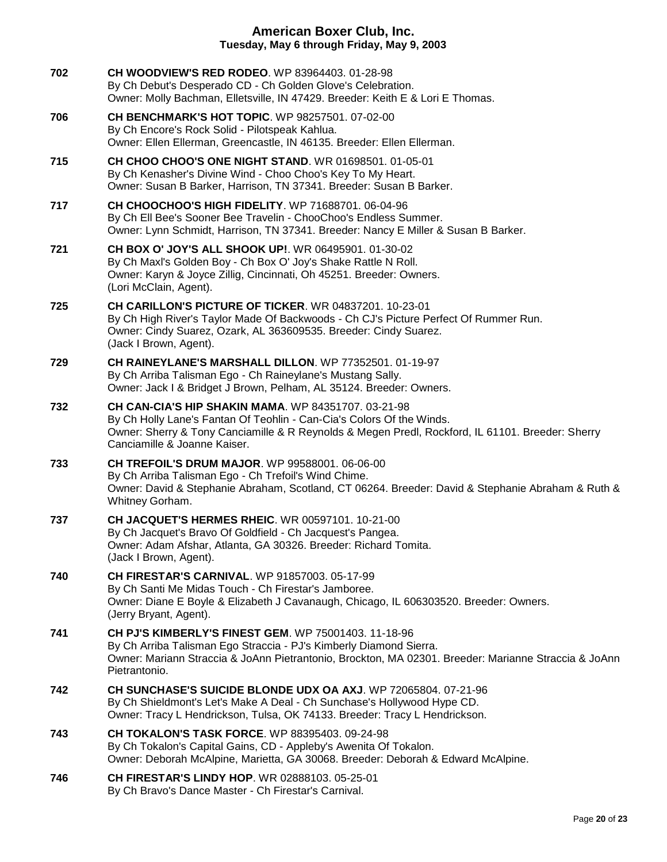| 702 | <b>CH WOODVIEW'S RED RODEO.</b> WP 83964403. 01-28-98<br>By Ch Debut's Desperado CD - Ch Golden Glove's Celebration.<br>Owner: Molly Bachman, Elletsville, IN 47429. Breeder: Keith E & Lori E Thomas.                                                                  |
|-----|-------------------------------------------------------------------------------------------------------------------------------------------------------------------------------------------------------------------------------------------------------------------------|
| 706 | CH BENCHMARK'S HOT TOPIC. WP 98257501. 07-02-00<br>By Ch Encore's Rock Solid - Pilotspeak Kahlua.<br>Owner: Ellen Ellerman, Greencastle, IN 46135. Breeder: Ellen Ellerman.                                                                                             |
| 715 | <b>CH CHOO CHOO'S ONE NIGHT STAND. WR 01698501. 01-05-01</b><br>By Ch Kenasher's Divine Wind - Choo Choo's Key To My Heart.<br>Owner: Susan B Barker, Harrison, TN 37341. Breeder: Susan B Barker.                                                                      |
| 717 | <b>CH CHOOCHOO'S HIGH FIDELITY. WP 71688701. 06-04-96</b><br>By Ch Ell Bee's Sooner Bee Travelin - ChooChoo's Endless Summer.<br>Owner: Lynn Schmidt, Harrison, TN 37341. Breeder: Nancy E Miller & Susan B Barker.                                                     |
| 721 | CH BOX O' JOY'S ALL SHOOK UP!. WR 06495901. 01-30-02<br>By Ch Maxl's Golden Boy - Ch Box O' Joy's Shake Rattle N Roll.<br>Owner: Karyn & Joyce Zillig, Cincinnati, Oh 45251. Breeder: Owners.<br>(Lori McClain, Agent).                                                 |
| 725 | CH CARILLON'S PICTURE OF TICKER. WR 04837201. 10-23-01<br>By Ch High River's Taylor Made Of Backwoods - Ch CJ's Picture Perfect Of Rummer Run.<br>Owner: Cindy Suarez, Ozark, AL 363609535. Breeder: Cindy Suarez.<br>(Jack I Brown, Agent).                            |
| 729 | CH RAINEYLANE'S MARSHALL DILLON. WP 77352501. 01-19-97<br>By Ch Arriba Talisman Ego - Ch Raineylane's Mustang Sally.<br>Owner: Jack I & Bridget J Brown, Pelham, AL 35124. Breeder: Owners.                                                                             |
| 732 | <b>CH CAN-CIA'S HIP SHAKIN MAMA. WP 84351707. 03-21-98</b><br>By Ch Holly Lane's Fantan Of Teohlin - Can-Cia's Colors Of the Winds.<br>Owner: Sherry & Tony Canciamille & R Reynolds & Megen Predl, Rockford, IL 61101. Breeder: Sherry<br>Canciamille & Joanne Kaiser. |
| 733 | <b>CH TREFOIL'S DRUM MAJOR. WP 99588001. 06-06-00</b><br>By Ch Arriba Talisman Ego - Ch Trefoil's Wind Chime.<br>Owner: David & Stephanie Abraham, Scotland, CT 06264. Breeder: David & Stephanie Abraham & Ruth &<br>Whitney Gorham.                                   |
| 737 | <b>CH JACQUET'S HERMES RHEIC. WR 00597101. 10-21-00</b><br>By Ch Jacquet's Bravo Of Goldfield - Ch Jacquest's Pangea.<br>Owner: Adam Afshar, Atlanta, GA 30326. Breeder: Richard Tomita.<br>(Jack I Brown, Agent).                                                      |
| 740 | <b>CH FIRESTAR'S CARNIVAL. WP 91857003. 05-17-99</b><br>By Ch Santi Me Midas Touch - Ch Firestar's Jamboree.<br>Owner: Diane E Boyle & Elizabeth J Cavanaugh, Chicago, IL 606303520. Breeder: Owners.<br>(Jerry Bryant, Agent).                                         |
| 741 | <b>CH PJ'S KIMBERLY'S FINEST GEM.</b> WP 75001403, 11-18-96<br>By Ch Arriba Talisman Ego Straccia - PJ's Kimberly Diamond Sierra.<br>Owner: Mariann Straccia & JoAnn Pietrantonio, Brockton, MA 02301. Breeder: Marianne Straccia & JoAnn<br>Pietrantonio.              |
| 742 | CH SUNCHASE'S SUICIDE BLONDE UDX OA AXJ. WP 72065804. 07-21-96<br>By Ch Shieldmont's Let's Make A Deal - Ch Sunchase's Hollywood Hype CD.<br>Owner: Tracy L Hendrickson, Tulsa, OK 74133. Breeder: Tracy L Hendrickson.                                                 |
| 743 | <b>CH TOKALON'S TASK FORCE. WP 88395403. 09-24-98</b><br>By Ch Tokalon's Capital Gains, CD - Appleby's Awenita Of Tokalon.<br>Owner: Deborah McAlpine, Marietta, GA 30068. Breeder: Deborah & Edward McAlpine.                                                          |
| 746 | CH FIRESTAR'S LINDY HOP. WR 02888103. 05-25-01                                                                                                                                                                                                                          |

By Ch Bravo's Dance Master - Ch Firestar's Carnival.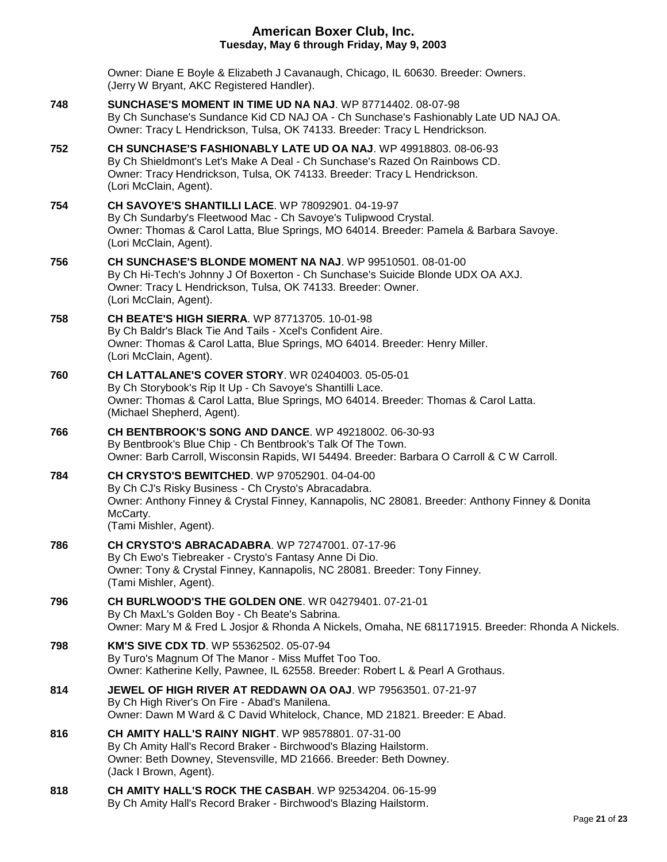|     | Owner: Diane E Boyle & Elizabeth J Cavanaugh, Chicago, IL 60630. Breeder: Owners.<br>(Jerry W Bryant, AKC Registered Handler).                                                                                                                      |
|-----|-----------------------------------------------------------------------------------------------------------------------------------------------------------------------------------------------------------------------------------------------------|
| 748 | SUNCHASE'S MOMENT IN TIME UD NA NAJ. WP 87714402.08-07-98<br>By Ch Sunchase's Sundance Kid CD NAJ OA - Ch Sunchase's Fashionably Late UD NAJ OA.<br>Owner: Tracy L Hendrickson, Tulsa, OK 74133. Breeder: Tracy L Hendrickson.                      |
| 752 | CH SUNCHASE'S FASHIONABLY LATE UD OA NAJ. WP 49918803. 08-06-93<br>By Ch Shieldmont's Let's Make A Deal - Ch Sunchase's Razed On Rainbows CD.<br>Owner: Tracy Hendrickson, Tulsa, OK 74133. Breeder: Tracy L Hendrickson.<br>(Lori McClain, Agent). |
| 754 | CH SAVOYE'S SHANTILLI LACE. WP 78092901. 04-19-97<br>By Ch Sundarby's Fleetwood Mac - Ch Savoye's Tulipwood Crystal.<br>Owner: Thomas & Carol Latta, Blue Springs, MO 64014. Breeder: Pamela & Barbara Savoye.<br>(Lori McClain, Agent).            |
| 756 | CH SUNCHASE'S BLONDE MOMENT NA NAJ. WP 99510501. 08-01-00<br>By Ch Hi-Tech's Johnny J Of Boxerton - Ch Sunchase's Suicide Blonde UDX OA AXJ.<br>Owner: Tracy L Hendrickson, Tulsa, OK 74133. Breeder: Owner.<br>(Lori McClain, Agent).              |
| 758 | <b>CH BEATE'S HIGH SIERRA. WP 87713705. 10-01-98</b><br>By Ch Baldr's Black Tie And Tails - Xcel's Confident Aire.<br>Owner: Thomas & Carol Latta, Blue Springs, MO 64014. Breeder: Henry Miller.<br>(Lori McClain, Agent).                         |
| 760 | <b>CH LATTALANE'S COVER STORY. WR 02404003. 05-05-01</b><br>By Ch Storybook's Rip It Up - Ch Savoye's Shantilli Lace.<br>Owner: Thomas & Carol Latta, Blue Springs, MO 64014. Breeder: Thomas & Carol Latta.<br>(Michael Shepherd, Agent).          |
| 766 | <b>CH BENTBROOK'S SONG AND DANCE.</b> WP 49218002. 06-30-93<br>By Bentbrook's Blue Chip - Ch Bentbrook's Talk Of The Town.<br>Owner: Barb Carroll, Wisconsin Rapids, WI 54494. Breeder: Barbara O Carroll & C W Carroll.                            |
| 784 | <b>CH CRYSTO'S BEWITCHED.</b> WP 97052901. 04-04-00<br>By Ch CJ's Risky Business - Ch Crysto's Abracadabra.<br>Owner: Anthony Finney & Crystal Finney, Kannapolis, NC 28081. Breeder: Anthony Finney & Donita<br>McCarty.<br>(Tami Mishler, Agent). |
| 786 | <b>CH CRYSTO'S ABRACADABRA. WP 72747001. 07-17-96</b><br>By Ch Ewo's Tiebreaker - Crysto's Fantasy Anne Di Dio.<br>Owner: Tony & Crystal Finney, Kannapolis, NC 28081. Breeder: Tony Finney.<br>(Tami Mishler, Agent).                              |
| 796 | CH BURLWOOD'S THE GOLDEN ONE. WR 04279401. 07-21-01<br>By Ch MaxL's Golden Boy - Ch Beate's Sabrina.<br>Owner: Mary M & Fred L Josjor & Rhonda A Nickels, Omaha, NE 681171915. Breeder: Rhonda A Nickels.                                           |
| 798 | <b>KM'S SIVE CDX TD. WP 55362502. 05-07-94</b><br>By Turo's Magnum Of The Manor - Miss Muffet Too Too.<br>Owner: Katherine Kelly, Pawnee, IL 62558. Breeder: Robert L & Pearl A Grothaus.                                                           |
| 814 | <b>JEWEL OF HIGH RIVER AT REDDAWN OA OAJ.</b> WP 79563501. 07-21-97<br>By Ch High River's On Fire - Abad's Manilena.<br>Owner: Dawn M Ward & C David Whitelock, Chance, MD 21821. Breeder: E Abad.                                                  |
| 816 | CH AMITY HALL'S RAINY NIGHT. WP 98578801. 07-31-00<br>By Ch Amity Hall's Record Braker - Birchwood's Blazing Hailstorm.<br>Owner: Beth Downey, Stevensville, MD 21666. Breeder: Beth Downey.<br>(Jack I Brown, Agent).                              |
| 818 | <b>CH AMITY HALL'S ROCK THE CASBAH. WP 92534204. 06-15-99</b><br>By Ch Amity Hall's Record Braker - Birchwood's Blazing Hailstorm.                                                                                                                  |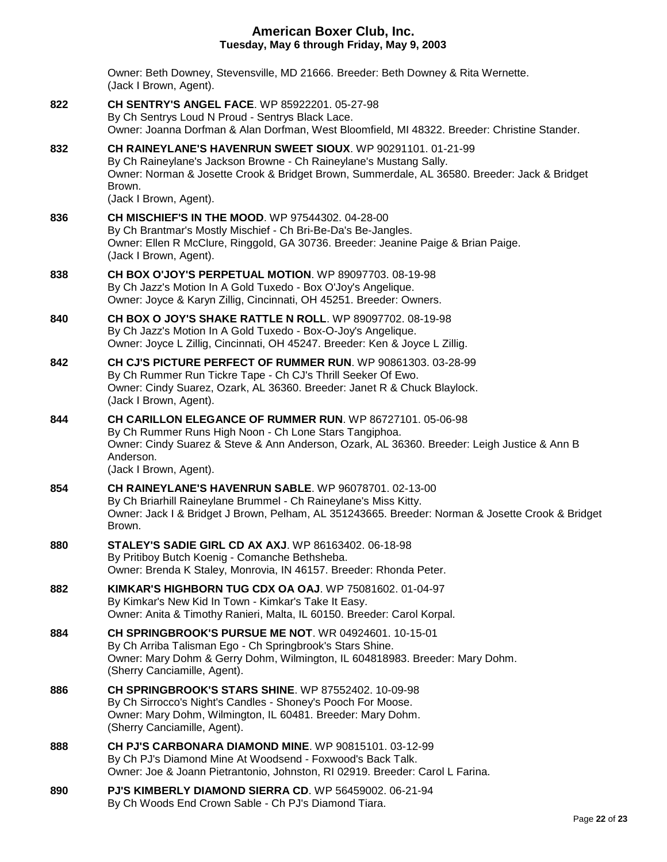|     | Owner: Beth Downey, Stevensville, MD 21666. Breeder: Beth Downey & Rita Wernette.<br>(Jack I Brown, Agent).                                                                                                                                                           |
|-----|-----------------------------------------------------------------------------------------------------------------------------------------------------------------------------------------------------------------------------------------------------------------------|
| 822 | <b>CH SENTRY'S ANGEL FACE.</b> WP 85922201, 05-27-98<br>By Ch Sentrys Loud N Proud - Sentrys Black Lace.<br>Owner: Joanna Dorfman & Alan Dorfman, West Bloomfield, MI 48322. Breeder: Christine Stander.                                                              |
| 832 | CH RAINEYLANE'S HAVENRUN SWEET SIOUX. WP 90291101. 01-21-99<br>By Ch Raineylane's Jackson Browne - Ch Raineylane's Mustang Sally.<br>Owner: Norman & Josette Crook & Bridget Brown, Summerdale, AL 36580. Breeder: Jack & Bridget<br>Brown.<br>(Jack I Brown, Agent). |
| 836 | <b>CH MISCHIEF'S IN THE MOOD.</b> WP 97544302. 04-28-00<br>By Ch Brantmar's Mostly Mischief - Ch Bri-Be-Da's Be-Jangles.<br>Owner: Ellen R McClure, Ringgold, GA 30736. Breeder: Jeanine Paige & Brian Paige.<br>(Jack I Brown, Agent).                               |
| 838 | CH BOX O'JOY'S PERPETUAL MOTION. WP 89097703. 08-19-98<br>By Ch Jazz's Motion In A Gold Tuxedo - Box O'Joy's Angelique.<br>Owner: Joyce & Karyn Zillig, Cincinnati, OH 45251. Breeder: Owners.                                                                        |
| 840 | <b>CH BOX O JOY'S SHAKE RATTLE N ROLL. WP 89097702. 08-19-98</b><br>By Ch Jazz's Motion In A Gold Tuxedo - Box-O-Joy's Angelique.<br>Owner: Joyce L Zillig, Cincinnati, OH 45247. Breeder: Ken & Joyce L Zillig.                                                      |
| 842 | CH CJ'S PICTURE PERFECT OF RUMMER RUN. WP 90861303. 03-28-99<br>By Ch Rummer Run Tickre Tape - Ch CJ's Thrill Seeker Of Ewo.<br>Owner: Cindy Suarez, Ozark, AL 36360. Breeder: Janet R & Chuck Blaylock.<br>(Jack I Brown, Agent).                                    |
| 844 | CH CARILLON ELEGANCE OF RUMMER RUN. WP 86727101. 05-06-98<br>By Ch Rummer Runs High Noon - Ch Lone Stars Tangiphoa.<br>Owner: Cindy Suarez & Steve & Ann Anderson, Ozark, AL 36360. Breeder: Leigh Justice & Ann B<br>Anderson.<br>(Jack I Brown, Agent).             |
| 854 | CH RAINEYLANE'S HAVENRUN SABLE, WP 96078701, 02-13-00<br>By Ch Briarhill Raineylane Brummel - Ch Raineylane's Miss Kitty.<br>Owner: Jack I & Bridget J Brown, Pelham, AL 351243665. Breeder: Norman & Josette Crook & Bridget<br>Brown.                               |
| 880 | <b>STALEY'S SADIE GIRL CD AX AXJ. WP 86163402. 06-18-98</b><br>By Pritiboy Butch Koenig - Comanche Bethsheba.<br>Owner: Brenda K Staley, Monrovia, IN 46157. Breeder: Rhonda Peter.                                                                                   |
| 882 | KIMKAR'S HIGHBORN TUG CDX OA OAJ. WP 75081602, 01-04-97<br>By Kimkar's New Kid In Town - Kimkar's Take It Easy.<br>Owner: Anita & Timothy Ranieri, Malta, IL 60150. Breeder: Carol Korpal.                                                                            |
| 884 | <b>CH SPRINGBROOK'S PURSUE ME NOT. WR 04924601, 10-15-01</b><br>By Ch Arriba Talisman Ego - Ch Springbrook's Stars Shine.<br>Owner: Mary Dohm & Gerry Dohm, Wilmington, IL 604818983. Breeder: Mary Dohm.<br>(Sherry Canciamille, Agent).                             |
| 886 | <b>CH SPRINGBROOK'S STARS SHINE.</b> WP 87552402. 10-09-98<br>By Ch Sirrocco's Night's Candles - Shoney's Pooch For Moose.<br>Owner: Mary Dohm, Wilmington, IL 60481. Breeder: Mary Dohm.<br>(Sherry Canciamille, Agent).                                             |
| 888 | <b>CH PJ'S CARBONARA DIAMOND MINE. WP 90815101. 03-12-99</b><br>By Ch PJ's Diamond Mine At Woodsend - Foxwood's Back Talk.<br>Owner: Joe & Joann Pietrantonio, Johnston, RI 02919. Breeder: Carol L Farina.                                                           |
| 890 | PJ'S KIMBERLY DIAMOND SIERRA CD. WP 56459002. 06-21-94<br>By Ch Woods End Crown Sable - Ch PJ's Diamond Tiara.                                                                                                                                                        |